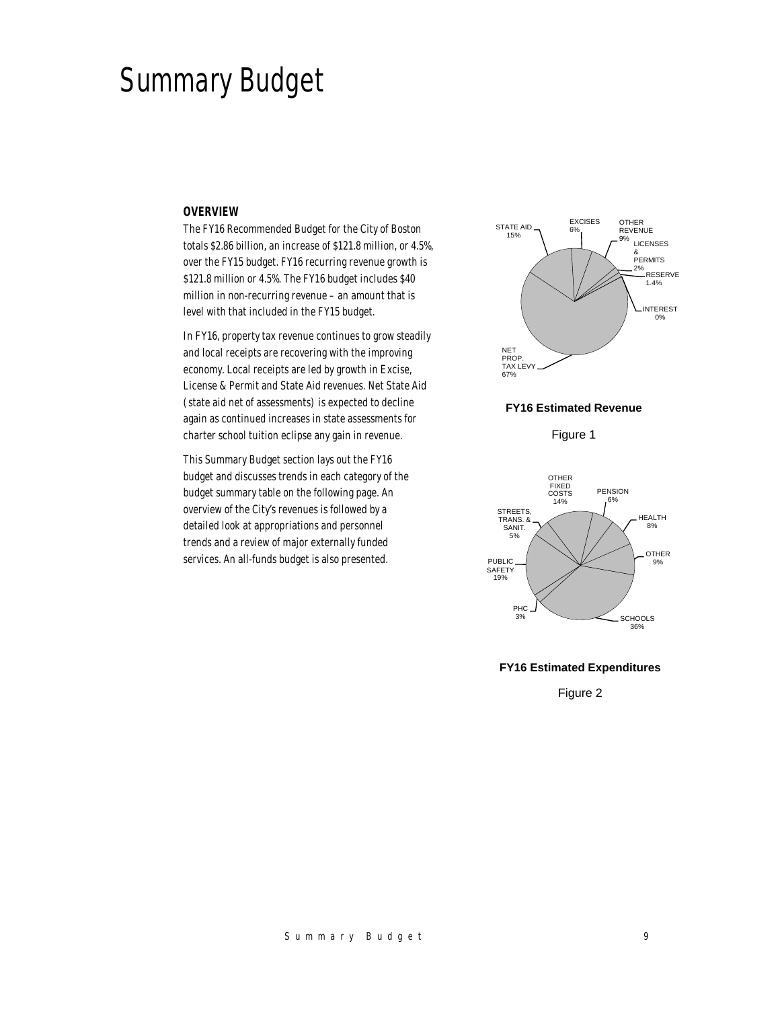# Summary Budget

#### *OVERVIEW*

The FY16 Recommended Budget for the City of Boston totals \$2.86 billion, an increase of \$121.8 million, or 4.5%, over the FY15 budget. FY16 recurring revenue growth is \$121.8 million or 4.5%. The FY16 budget includes \$40 million in non-recurring revenue – an amount that is level with that included in the FY15 budget.

In FY16, property tax revenue continues to grow steadily and local receipts are recovering with the improving economy. Local receipts are led by growth in Excise, License & Permit and State Aid revenues. Net State Aid (state aid net of assessments) is expected to decline again as continued increases in state assessments for charter school tuition eclipse any gain in revenue.

This Summary Budget section lays out the FY16 budget and discusses trends in each category of the budget summary table on the following page. An overview of the City's revenues is followed by a detailed look at appropriations and personnel trends and a review of major externally funded services. An all-funds budget is also presented.



## **FY16 Estimated Revenue**

Figure 1



#### **FY16 Estimated Expenditures**

Figure 2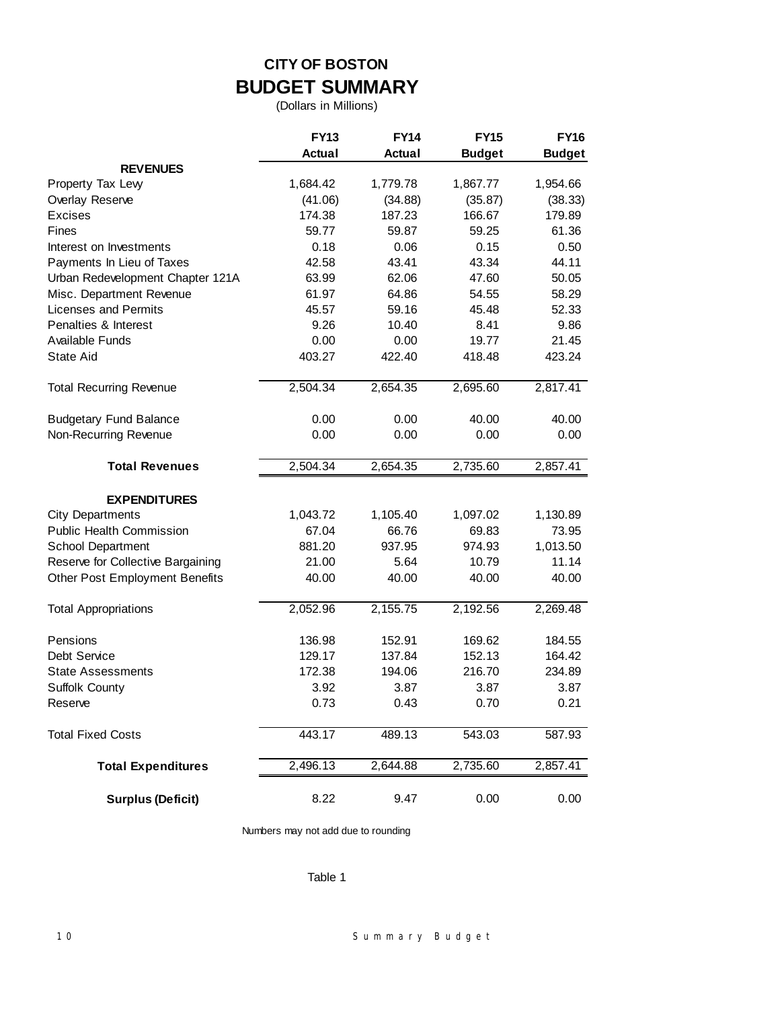# **CITY OF BOSTON BUDGET SUMMARY**

(Dollars in Millions)

|                                   | <b>FY13</b>   | <b>FY14</b>   | <b>FY15</b>   | <b>FY16</b>   |
|-----------------------------------|---------------|---------------|---------------|---------------|
|                                   | <b>Actual</b> | <b>Actual</b> | <b>Budget</b> | <b>Budget</b> |
| <b>REVENUES</b>                   |               |               |               |               |
| Property Tax Levy                 | 1,684.42      | 1,779.78      | 1,867.77      | 1,954.66      |
| Overlay Reserve                   | (41.06)       | (34.88)       | (35.87)       | (38.33)       |
| <b>Excises</b>                    | 174.38        | 187.23        | 166.67        | 179.89        |
| Fines                             | 59.77         | 59.87         | 59.25         | 61.36         |
| Interest on Investments           | 0.18          | 0.06          | 0.15          | 0.50          |
| Payments In Lieu of Taxes         | 42.58         | 43.41         | 43.34         | 44.11         |
| Urban Redevelopment Chapter 121A  | 63.99         | 62.06         | 47.60         | 50.05         |
| Misc. Department Revenue          | 61.97         | 64.86         | 54.55         | 58.29         |
| <b>Licenses and Permits</b>       | 45.57         | 59.16         | 45.48         | 52.33         |
| Penalties & Interest              | 9.26          | 10.40         | 8.41          | 9.86          |
| Available Funds                   | 0.00          | 0.00          | 19.77         | 21.45         |
| <b>State Aid</b>                  | 403.27        | 422.40        | 418.48        | 423.24        |
| <b>Total Recurring Revenue</b>    | 2,504.34      | 2,654.35      | 2,695.60      | 2,817.41      |
| <b>Budgetary Fund Balance</b>     | 0.00          | 0.00          | 40.00         | 40.00         |
| Non-Recurring Revenue             | 0.00          | 0.00          | 0.00          | 0.00          |
| <b>Total Revenues</b>             | 2,504.34      | 2,654.35      | 2,735.60      | 2,857.41      |
| <b>EXPENDITURES</b>               |               |               |               |               |
| <b>City Departments</b>           | 1,043.72      | 1,105.40      | 1,097.02      | 1,130.89      |
| <b>Public Health Commission</b>   | 67.04         | 66.76         | 69.83         | 73.95         |
| School Department                 | 881.20        | 937.95        | 974.93        | 1,013.50      |
| Reserve for Collective Bargaining | 21.00         | 5.64          | 10.79         | 11.14         |
| Other Post Employment Benefits    | 40.00         | 40.00         | 40.00         | 40.00         |
| <b>Total Appropriations</b>       | 2,052.96      | 2,155.75      | 2,192.56      | 2,269.48      |
| Pensions                          | 136.98        | 152.91        | 169.62        | 184.55        |
| Debt Service                      | 129.17        | 137.84        | 152.13        | 164.42        |
| <b>State Assessments</b>          | 172.38        | 194.06        | 216.70        | 234.89        |
| Suffolk County                    | 3.92          | 3.87          | 3.87          | 3.87          |
| Reserve                           | 0.73          | 0.43          | 0.70          | 0.21          |
| <b>Total Fixed Costs</b>          | 443.17        | 489.13        | 543.03        | 587.93        |
| <b>Total Expenditures</b>         | 2,496.13      | 2,644.88      | 2,735.60      | 2,857.41      |
| <b>Surplus (Deficit)</b>          | 8.22          | 9.47          | 0.00          | 0.00          |

Numbers may not add due to rounding

# Table 1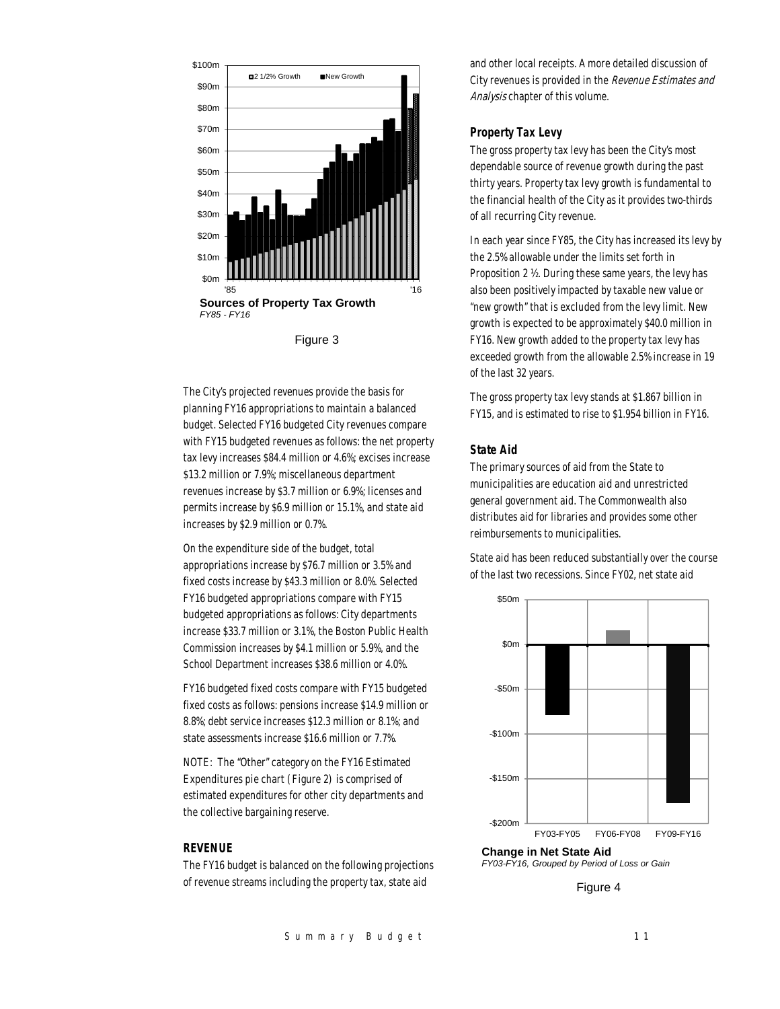

The City's projected revenues provide the basis for planning FY16 appropriations to maintain a balanced budget. Selected FY16 budgeted City revenues compare with FY15 budgeted revenues as follows: the net property tax levy increases \$84.4 million or 4.6%; excises increase \$13.2 million or 7.9%; miscellaneous department revenues increase by \$3.7 million or 6.9%; licenses and permits increase by \$6.9 million or 15.1%, and state aid increases by \$2.9 million or 0.7%.

On the expenditure side of the budget, total appropriations increase by \$76.7 million or 3.5% and fixed costs increase by \$43.3 million or 8.0%. Selected FY16 budgeted appropriations compare with FY15 budgeted appropriations as follows: City departments increase \$33.7 million or 3.1%, the Boston Public Health Commission increases by \$4.1 million or 5.9%, and the School Department increases \$38.6 million or 4.0%.

FY16 budgeted fixed costs compare with FY15 budgeted fixed costs as follows: pensions increase \$14.9 million or 8.8%; debt service increases \$12.3 million or 8.1%; and state assessments increase \$16.6 million or 7.7%.

NOTE: The "Other" category on the FY16 Estimated Expenditures pie chart (Figure 2) is comprised of estimated expenditures for other city departments and the collective bargaining reserve.

# *REVENUE*

The FY16 budget is balanced on the following projections of revenue streams including the property tax, state aid

and other local receipts. A more detailed discussion of City revenues is provided in the Revenue Estimates and Analysis chapter of this volume.

# *Property Tax Levy*

The gross property tax levy has been the City's most dependable source of revenue growth during the past thirty years. Property tax levy growth is fundamental to the financial health of the City as it provides two-thirds of all recurring City revenue.

In each year since FY85, the City has increased its levy by the 2.5% allowable under the limits set forth in Proposition 2 ½. During these same years, the levy has also been positively impacted by taxable new value or "new growth" that is excluded from the levy limit. New growth is expected to be approximately \$40.0 million in FY16. New growth added to the property tax levy has exceeded growth from the allowable 2.5% increase in 19 of the last 32 years.

The gross property tax levy stands at \$1.867 billion in FY15, and is estimated to rise to \$1.954 billion in FY16.

# *State Aid*

The primary sources of aid from the State to municipalities are education aid and unrestricted general government aid. The Commonwealth also distributes aid for libraries and provides some other reimbursements to municipalities.

State aid has been reduced substantially over the course of the last two recessions. Since FY02, net state aid



**Change in Net State Aid** *FY03-FY16, Grouped by Period of Loss or Gain*

Figure 4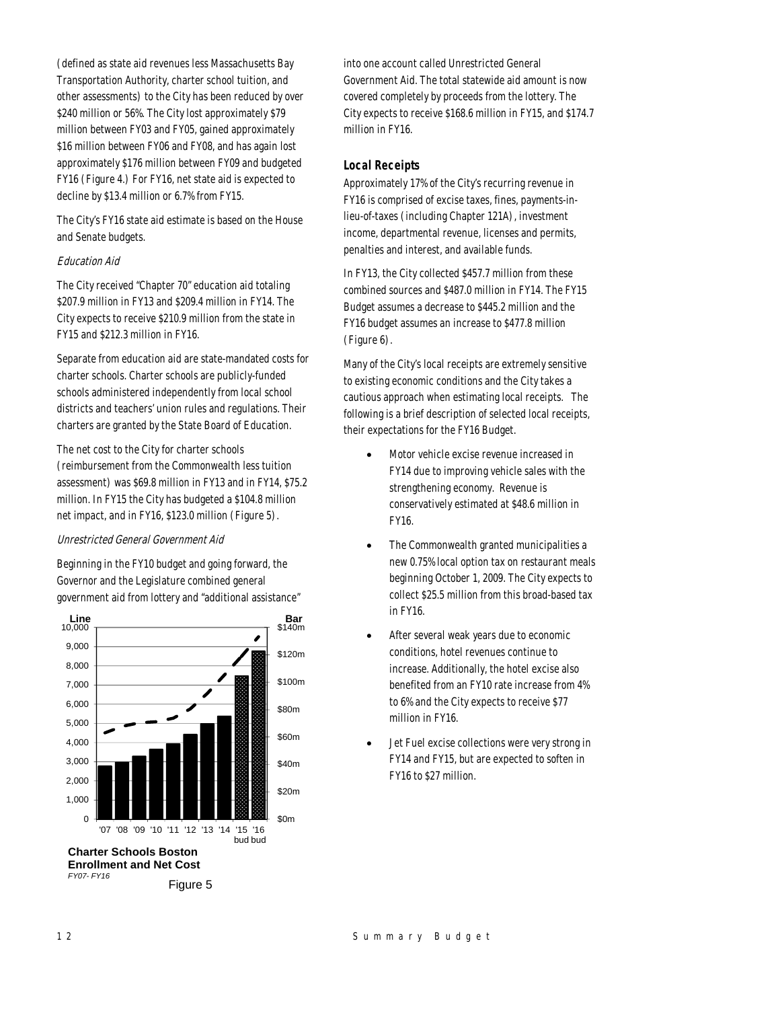(defined as state aid revenues less Massachusetts Bay Transportation Authority, charter school tuition, and other assessments) to the City has been reduced by over \$240 million or 56%. The City lost approximately \$79 million between FY03 and FY05, gained approximately \$16 million between FY06 and FY08, and has again lost approximately \$176 million between FY09 and budgeted FY16 (Figure 4.) For FY16, net state aid is expected to decline by \$13.4 million or 6.7% from FY15.

The City's FY16 state aid estimate is based on the House and Senate budgets.

# Education Aid

The City received "Chapter 70" education aid totaling \$207.9 million in FY13 and \$209.4 million in FY14. The City expects to receive \$210.9 million from the state in FY15 and \$212.3 million in FY16.

Separate from education aid are state-mandated costs for charter schools. Charter schools are publicly-funded schools administered independently from local school districts and teachers' union rules and regulations. Their charters are granted by the State Board of Education.

The net cost to the City for charter schools (reimbursement from the Commonwealth less tuition assessment) was \$69.8 million in FY13 and in FY14, \$75.2 million. In FY15 the City has budgeted a \$104.8 million net impact, and in FY16, \$123.0 million (Figure 5).

# Unrestricted General Government Aid

Beginning in the FY10 budget and going forward, the Governor and the Legislature combined general government aid from lottery and "additional assistance"



into one account called Unrestricted General Government Aid. The total statewide aid amount is now covered completely by proceeds from the lottery. The City expects to receive \$168.6 million in FY15, and \$174.7 million in FY16.

# *Local Receipts*

Approximately 17% of the City's recurring revenue in FY16 is comprised of excise taxes, fines, payments-inlieu-of-taxes (including Chapter 121A), investment income, departmental revenue, licenses and permits, penalties and interest, and available funds.

In FY13, the City collected \$457.7 million from these combined sources and \$487.0 million in FY14. The FY15 Budget assumes a decrease to \$445.2 million and the FY16 budget assumes an increase to \$477.8 million (Figure 6).

Many of the City's local receipts are extremely sensitive to existing economic conditions and the City takes a cautious approach when estimating local receipts. The following is a brief description of selected local receipts, their expectations for the FY16 Budget.

- Motor vehicle excise revenue increased in FY14 due to improving vehicle sales with the strengthening economy. Revenue is conservatively estimated at \$48.6 million in FY16.
- The Commonwealth granted municipalities a new 0.75% local option tax on restaurant meals beginning October 1, 2009. The City expects to collect \$25.5 million from this broad-based tax in FY16.
- After several weak years due to economic conditions, hotel revenues continue to increase. Additionally, the hotel excise also benefited from an FY10 rate increase from 4% to 6% and the City expects to receive \$77 million in FY16.
- Jet Fuel excise collections were very strong in FY14 and FY15, but are expected to soften in FY16 to \$27 million.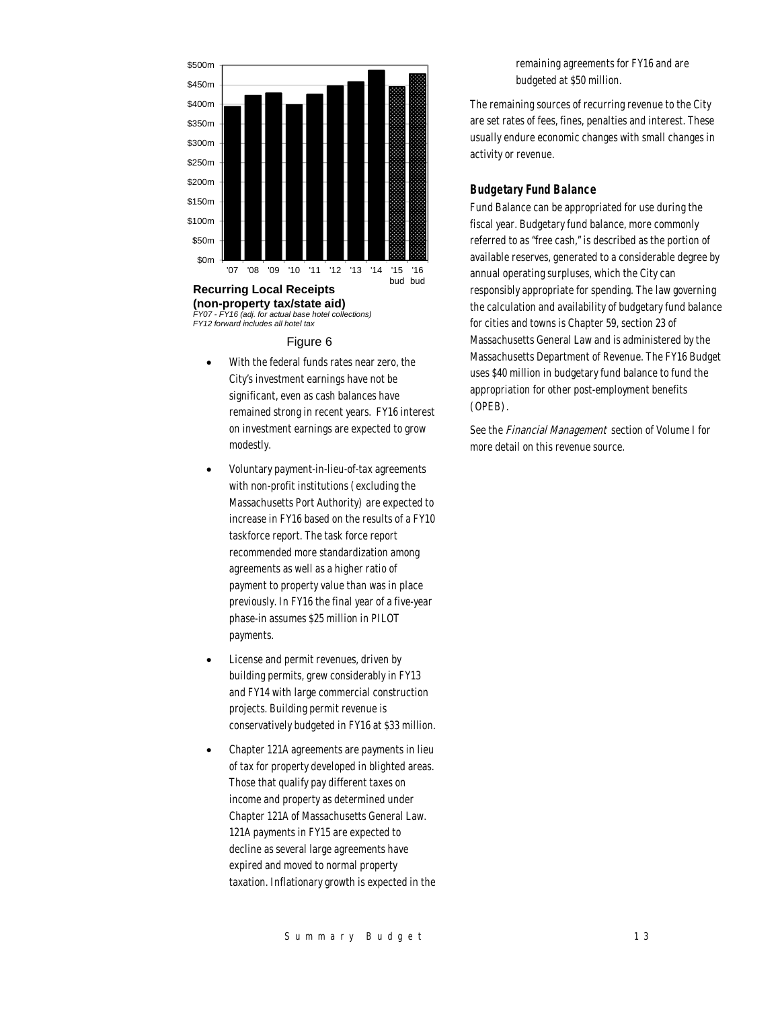

*FY07 - FY16 (adj. for actual base hotel collections) FY12 forward includes all hotel tax*

#### Figure 6

- With the federal funds rates near zero, the City's investment earnings have not be significant, even as cash balances have remained strong in recent years. FY16 interest on investment earnings are expected to grow modestly.
- Voluntary payment-in-lieu-of-tax agreements with non-profit institutions (excluding the Massachusetts Port Authority) are expected to increase in FY16 based on the results of a FY10 taskforce report. The task force report recommended more standardization among agreements as well as a higher ratio of payment to property value than was in place previously. In FY16 the final year of a five-year phase-in assumes \$25 million in PILOT payments.
- License and permit revenues, driven by building permits, grew considerably in FY13 and FY14 with large commercial construction projects. Building permit revenue is conservatively budgeted in FY16 at \$33 million.
- Chapter 121A agreements are payments in lieu of tax for property developed in blighted areas. Those that qualify pay different taxes on income and property as determined under Chapter 121A of Massachusetts General Law. 121A payments in FY15 are expected to decline as several large agreements have expired and moved to normal property taxation. Inflationary growth is expected in the

remaining agreements for FY16 and are budgeted at \$50 million.

The remaining sources of recurring revenue to the City are set rates of fees, fines, penalties and interest. These usually endure economic changes with small changes in activity or revenue.

# *Budgetary Fund Balance*

Fund Balance can be appropriated for use during the fiscal year. Budgetary fund balance, more commonly referred to as "free cash," is described as the portion of available reserves, generated to a considerable degree by annual operating surpluses, which the City can responsibly appropriate for spending. The law governing the calculation and availability of budgetary fund balance for cities and towns is Chapter 59, section 23 of Massachusetts General Law and is administered by the Massachusetts Department of Revenue. The FY16 Budget uses \$40 million in budgetary fund balance to fund the appropriation for other post-employment benefits (OPEB).

See the Financial Management section of Volume I for more detail on this revenue source.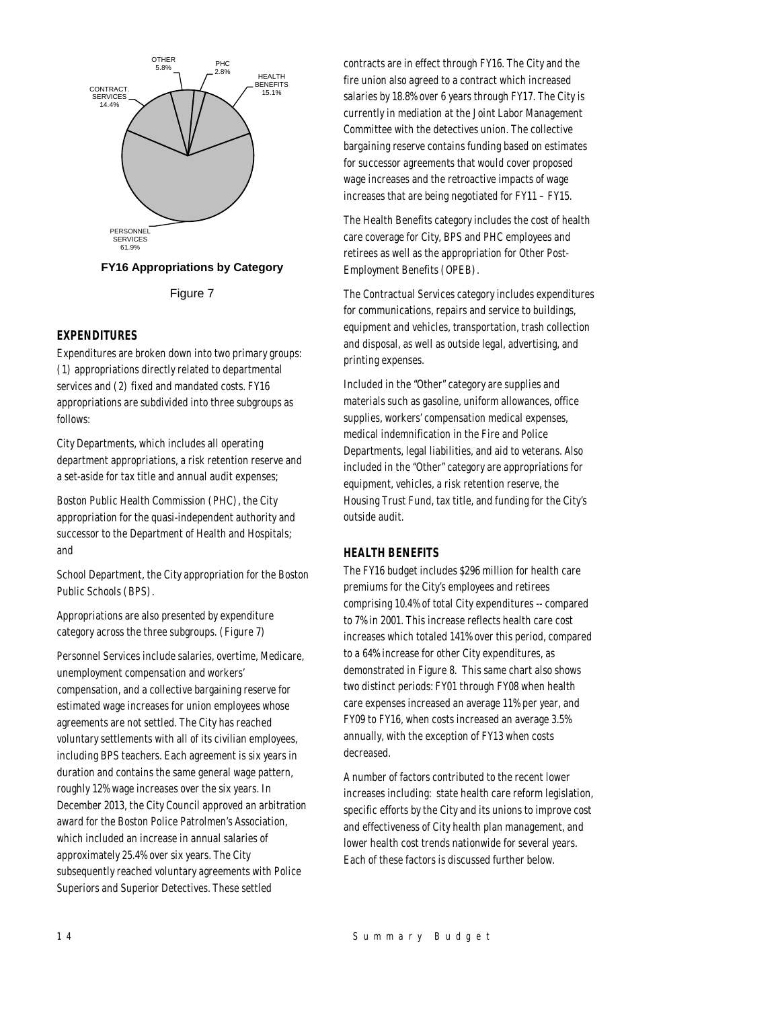



# *EXPENDITURES*

Expenditures are broken down into two primary groups: (1) appropriations directly related to departmental services and (2) fixed and mandated costs. FY16 appropriations are subdivided into three subgroups as follows:

City Departments, which includes all operating department appropriations, a risk retention reserve and a set-aside for tax title and annual audit expenses;

Boston Public Health Commission (PHC), the City appropriation for the quasi-independent authority and successor to the Department of Health and Hospitals; and

School Department, the City appropriation for the Boston Public Schools (BPS).

Appropriations are also presented by expenditure category across the three subgroups. (Figure 7)

Personnel Services include salaries, overtime, Medicare, unemployment compensation and workers' compensation, and a collective bargaining reserve for estimated wage increases for union employees whose agreements are not settled. The City has reached voluntary settlements with all of its civilian employees, including BPS teachers. Each agreement is six years in duration and contains the same general wage pattern, roughly 12% wage increases over the six years. In December 2013, the City Council approved an arbitration award for the Boston Police Patrolmen's Association, which included an increase in annual salaries of approximately 25.4% over six years. The City subsequently reached voluntary agreements with Police Superiors and Superior Detectives. These settled

contracts are in effect through FY16. The City and the fire union also agreed to a contract which increased salaries by 18.8% over 6 years through FY17. The City is currently in mediation at the Joint Labor Management Committee with the detectives union. The collective bargaining reserve contains funding based on estimates for successor agreements that would cover proposed wage increases and the retroactive impacts of wage increases that are being negotiated for FY11 – FY15.

The Health Benefits category includes the cost of health care coverage for City, BPS and PHC employees and retirees as well as the appropriation for Other Post-Employment Benefits (OPEB).

The Contractual Services category includes expenditures for communications, repairs and service to buildings, equipment and vehicles, transportation, trash collection and disposal, as well as outside legal, advertising, and printing expenses.

Included in the "Other" category are supplies and materials such as gasoline, uniform allowances, office supplies, workers' compensation medical expenses, medical indemnification in the Fire and Police Departments, legal liabilities, and aid to veterans. Also included in the "Other" category are appropriations for equipment, vehicles, a risk retention reserve, the Housing Trust Fund, tax title, and funding for the City's outside audit.

#### *HEALTH BENEFITS*

The FY16 budget includes \$296 million for health care premiums for the City's employees and retirees comprising 10.4% of total City expenditures -- compared to 7% in 2001. This increase reflects health care cost increases which totaled 141% over this period, compared to a 64% increase for other City expenditures, as demonstrated in Figure 8. This same chart also shows two distinct periods: FY01 through FY08 when health care expenses increased an average 11% per year, and FY09 to FY16, when costs increased an average 3.5% annually, with the exception of FY13 when costs decreased.

A number of factors contributed to the recent lower increases including: state health care reform legislation, specific efforts by the City and its unions to improve cost and effectiveness of City health plan management, and lower health cost trends nationwide for several years. Each of these factors is discussed further below.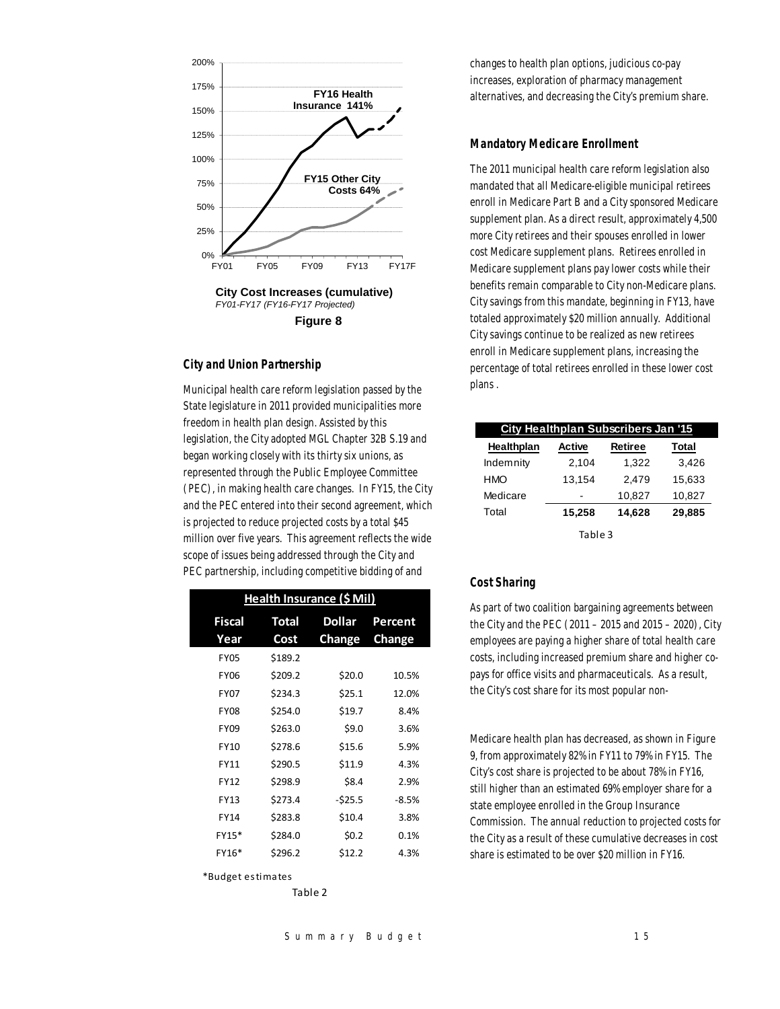

**Figure 8**

# *City and Union Partnership*

Municipal health care reform legislation passed by the State legislature in 2011 provided municipalities more freedom in health plan design. Assisted by this legislation, the City adopted MGL Chapter 32B S.19 and began working closely with its thirty six unions, as represented through the Public Employee Committee (PEC), in making health care changes. In FY15, the City and the PEC entered into their second agreement, which is projected to reduce projected costs by a total \$45 million over five years. This agreement reflects the wide scope of issues being addressed through the City and PEC partnership, including competitive bidding of and

| Health Insurance (\$ Mil) |              |               |               |  |  |  |  |
|---------------------------|--------------|---------------|---------------|--|--|--|--|
| <b>Fiscal</b>             | <b>Total</b> | <b>Dollar</b> | Percent       |  |  |  |  |
| Year                      | Cost         | Change        | <b>Change</b> |  |  |  |  |
| FY05                      | \$189.2      |               |               |  |  |  |  |
| <b>FY06</b>               | \$209.2      | \$20.0        | 10.5%         |  |  |  |  |
| <b>FY07</b>               | \$234.3      | \$25.1        | 12.0%         |  |  |  |  |
| <b>FY08</b>               | \$254.0      | \$19.7        | 8.4%          |  |  |  |  |
| <b>FY09</b>               | \$263.0      | \$9.0         | 3.6%          |  |  |  |  |
| FY10                      | \$278.6      | \$15.6        | 5.9%          |  |  |  |  |
| FY11                      | \$290.5      | \$11.9        | 4.3%          |  |  |  |  |
| FY12                      | \$298.9      | \$8.4         | 2.9%          |  |  |  |  |
| FY13                      | \$273.4      | $-525.5$      | $-8.5%$       |  |  |  |  |
| FY14                      | \$283.8      | \$10.4        | 3.8%          |  |  |  |  |
| FY15*                     | \$284.0      | \$0.2         | 0.1%          |  |  |  |  |
| FY16*                     | \$296.2      | \$12.2        | 4.3%          |  |  |  |  |

\*Budge t es tima tes

Table 2

changes to health plan options, judicious co-pay increases, exploration of pharmacy management alternatives, and decreasing the City's premium share.

# *Mandatory Medicare Enrollment*

The 2011 municipal health care reform legislation also mandated that all Medicare-eligible municipal retirees enroll in Medicare Part B and a City sponsored Medicare supplement plan. As a direct result, approximately 4,500 more City retirees and their spouses enrolled in lower cost Medicare supplement plans. Retirees enrolled in Medicare supplement plans pay lower costs while their benefits remain comparable to City non-Medicare plans. City savings from this mandate, beginning in FY13, have totaled approximately \$20 million annually. Additional City savings continue to be realized as new retirees enroll in Medicare supplement plans, increasing the percentage of total retirees enrolled in these lower cost plans .

| City Healthplan Subscribers Jan '15 |        |                |              |  |  |  |
|-------------------------------------|--------|----------------|--------------|--|--|--|
| Healthplan                          | Active | <b>Retiree</b> | <b>Total</b> |  |  |  |
| Indemnity                           | 2.104  | 1.322          | 3.426        |  |  |  |
| HMO                                 | 13.154 | 2.479          | 15.633       |  |  |  |
| Medicare                            |        | 10.827         | 10,827       |  |  |  |
| Total                               | 15,258 | 14,628         | 29,885       |  |  |  |
| Table 3                             |        |                |              |  |  |  |

# *Cost Sharing*

As part of two coalition bargaining agreements between the City and the PEC (2011 – 2015 and 2015 – 2020), City employees are paying a higher share of total health care costs, including increased premium share and higher copays for office visits and pharmaceuticals. As a result, the City's cost share for its most popular non-

Medicare health plan has decreased, as shown in Figure 9, from approximately 82% in FY11 to 79% in FY15. The City's cost share is projected to be about 78% in FY16, still higher than an estimated 69% employer share for a state employee enrolled in the Group Insurance Commission. The annual reduction to projected costs for the City as a result of these cumulative decreases in cost share is estimated to be over \$20 million in FY16.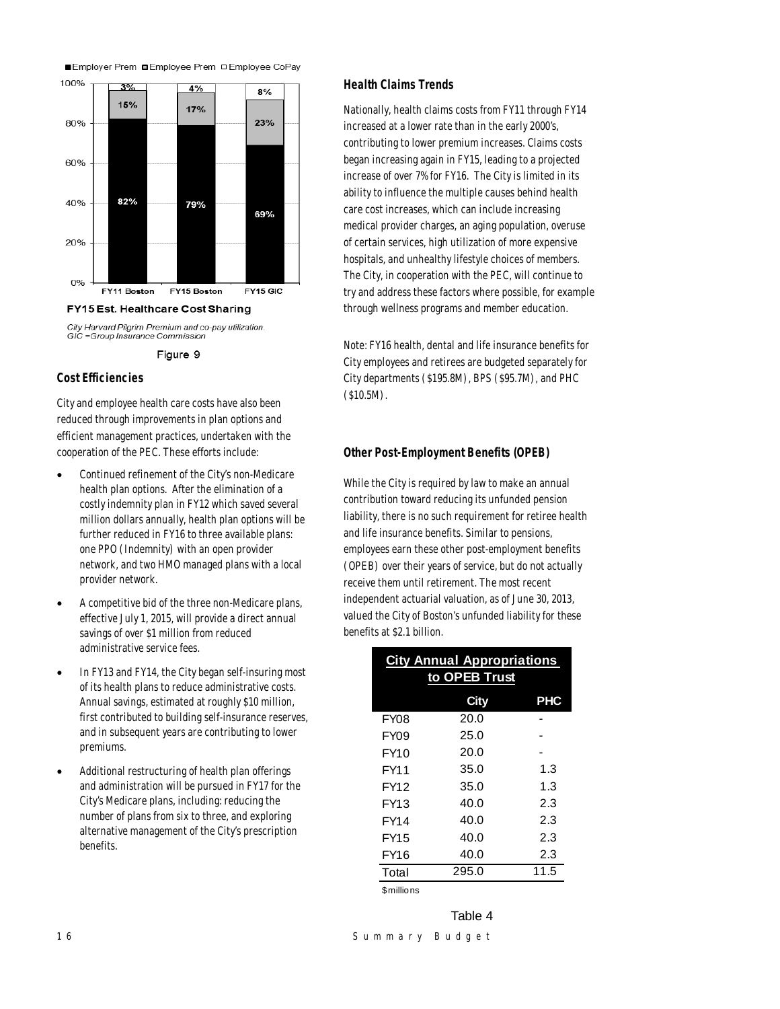







# *Cost Efficiencies*

City and employee health care costs have also been reduced through improvements in plan options and efficient management practices, undertaken with the cooperation of the PEC. These efforts include:

- Continued refinement of the City's non-Medicare health plan options. After the elimination of a costly indemnity plan in FY12 which saved several million dollars annually, health plan options will be further reduced in FY16 to three available plans: one PPO (Indemnity) with an open provider network, and two HMO managed plans with a local provider network.
- A competitive bid of the three non-Medicare plans, effective July 1, 2015, will provide a direct annual savings of over \$1 million from reduced administrative service fees.
- In FY13 and FY14, the City began self-insuring most of its health plans to reduce administrative costs. Annual savings, estimated at roughly \$10 million, first contributed to building self-insurance reserves, and in subsequent years are contributing to lower premiums.
- Additional restructuring of health plan offerings and administration will be pursued in FY17 for the City's Medicare plans, including: reducing the number of plans from six to three, and exploring alternative management of the City's prescription benefits.

#### *Health Claims Trends*

Nationally, health claims costs from FY11 through FY14 increased at a lower rate than in the early 2000's, contributing to lower premium increases. Claims costs began increasing again in FY15, leading to a projected increase of over 7% for FY16. The City is limited in its ability to influence the multiple causes behind health care cost increases, which can include increasing medical provider charges, an aging population, overuse of certain services, high utilization of more expensive hospitals, and unhealthy lifestyle choices of members. The City, in cooperation with the PEC, will continue to try and address these factors where possible, for example through wellness programs and member education.

Note: FY16 health, dental and life insurance benefits for City employees and retirees are budgeted separately for City departments (\$195.8M), BPS (\$95.7M), and PHC (\$10.5M).

# *Other Post-Employment Benefits (OPEB)*

While the City is required by law to make an annual contribution toward reducing its unfunded pension liability, there is no such requirement for retiree health and life insurance benefits. Similar to pensions, employees earn these other post-employment benefits (OPEB) over their years of service, but do not actually receive them until retirement. The most recent independent actuarial valuation, as of June 30, 2013, valued the City of Boston's unfunded liability for these benefits at \$2.1 billion.

| <b>City Annual Appropriations</b><br>to OPEB Trust |             |            |  |  |  |
|----------------------------------------------------|-------------|------------|--|--|--|
|                                                    | <b>City</b> | <b>PHC</b> |  |  |  |
| FY <sub>08</sub>                                   | 20.0        |            |  |  |  |
| <b>FY09</b>                                        | 25.0        |            |  |  |  |
| FY10                                               | 20.0        |            |  |  |  |
| FY11                                               | 35.0        | 1.3        |  |  |  |
| FY12                                               | 35.0        | 1.3        |  |  |  |
| FY13                                               | 40.0        | 2.3        |  |  |  |
| <b>FY14</b>                                        | 40.0        | 2.3        |  |  |  |
| <b>FY15</b>                                        | 40.0        | 2.3        |  |  |  |
| FY16                                               | 40.0        | 2.3        |  |  |  |
| Total                                              | 295.0       | 11.5       |  |  |  |
|                                                    |             |            |  |  |  |

\$millions

Table 4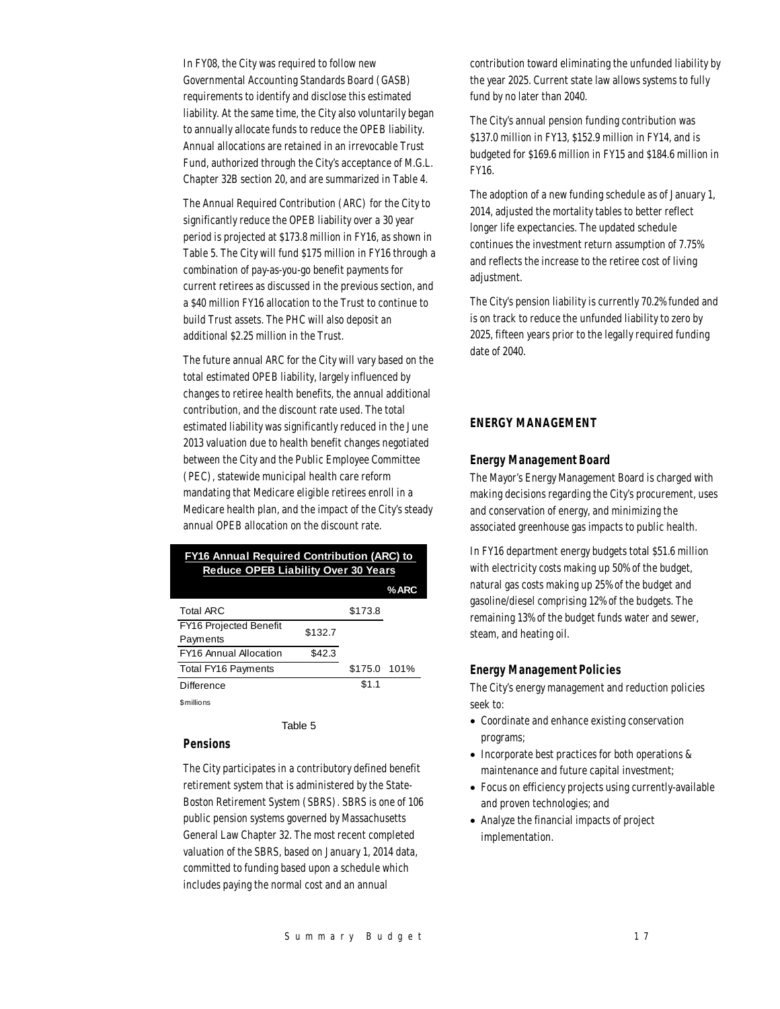In FY08, the City was required to follow new Governmental Accounting Standards Board (GASB) requirements to identify and disclose this estimated liability. At the same time, the City also voluntarily began to annually allocate funds to reduce the OPEB liability. Annual allocations are retained in an irrevocable Trust Fund, authorized through the City's acceptance of M.G.L. Chapter 32B section 20, and are summarized in Table 4.

The Annual Required Contribution (ARC) for the City to significantly reduce the OPEB liability over a 30 year period is projected at \$173.8 million in FY16, as shown in Table 5. The City will fund \$175 million in FY16 through a combination of pay-as-you-go benefit payments for current retirees as discussed in the previous section, and a \$40 million FY16 allocation to the Trust to continue to build Trust assets. The PHC will also deposit an additional \$2.25 million in the Trust.

The future annual ARC for the City will vary based on the total estimated OPEB liability, largely influenced by changes to retiree health benefits, the annual additional contribution, and the discount rate used. The total estimated liability was significantly reduced in the June 2013 valuation due to health benefit changes negotiated between the City and the Public Employee Committee (PEC), statewide municipal health care reform mandating that Medicare eligible retirees enroll in a Medicare health plan, and the impact of the City's steady annual OPEB allocation on the discount rate.

# **FY16 Annual Required Contribution (ARC) to Reduce OPEB Liability Over 30 Years**

|                               |         |              | $%$ ARC |
|-------------------------------|---------|--------------|---------|
| <b>Total ARC</b>              |         | \$173.8      |         |
| <b>FY16 Projected Benefit</b> | \$132.7 |              |         |
| Payments                      |         |              |         |
| <b>FY16 Annual Allocation</b> | \$42.3  |              |         |
| <b>Total FY16 Payments</b>    |         | \$175.0 101% |         |
| <b>Difference</b>             |         | \$1.1        |         |
| 0.441114444                   |         |              |         |

\$millions

Table 5

#### *Pensions*

The City participates in a contributory defined benefit retirement system that is administered by the State-Boston Retirement System (SBRS). SBRS is one of 106 public pension systems governed by Massachusetts General Law Chapter 32. The most recent completed valuation of the SBRS, based on January 1, 2014 data, committed to funding based upon a schedule which includes paying the normal cost and an annual

contribution toward eliminating the unfunded liability by the year 2025. Current state law allows systems to fully fund by no later than 2040.

The City's annual pension funding contribution was \$137.0 million in FY13, \$152.9 million in FY14, and is budgeted for \$169.6 million in FY15 and \$184.6 million in FY16.

The adoption of a new funding schedule as of January 1, 2014, adjusted the mortality tables to better reflect longer life expectancies. The updated schedule continues the investment return assumption of 7.75% and reflects the increase to the retiree cost of living adjustment.

The City's pension liability is currently 70.2% funded and is on track to reduce the unfunded liability to zero by 2025, fifteen years prior to the legally required funding date of 2040.

# *ENERGY MANAGEMENT*

#### *Energy Management Board*

The Mayor's Energy Management Board is charged with making decisions regarding the City's procurement, uses and conservation of energy, and minimizing the associated greenhouse gas impacts to public health.

In FY16 department energy budgets total \$51.6 million with electricity costs making up 50% of the budget, natural gas costs making up 25% of the budget and gasoline/diesel comprising 12% of the budgets. The remaining 13% of the budget funds water and sewer, steam, and heating oil.

#### *Energy Management Policies*

The City's energy management and reduction policies seek to:

- Coordinate and enhance existing conservation programs;
- Incorporate best practices for both operations & maintenance and future capital investment;
- Focus on efficiency projects using currently-available and proven technologies; and
- Analyze the financial impacts of project implementation.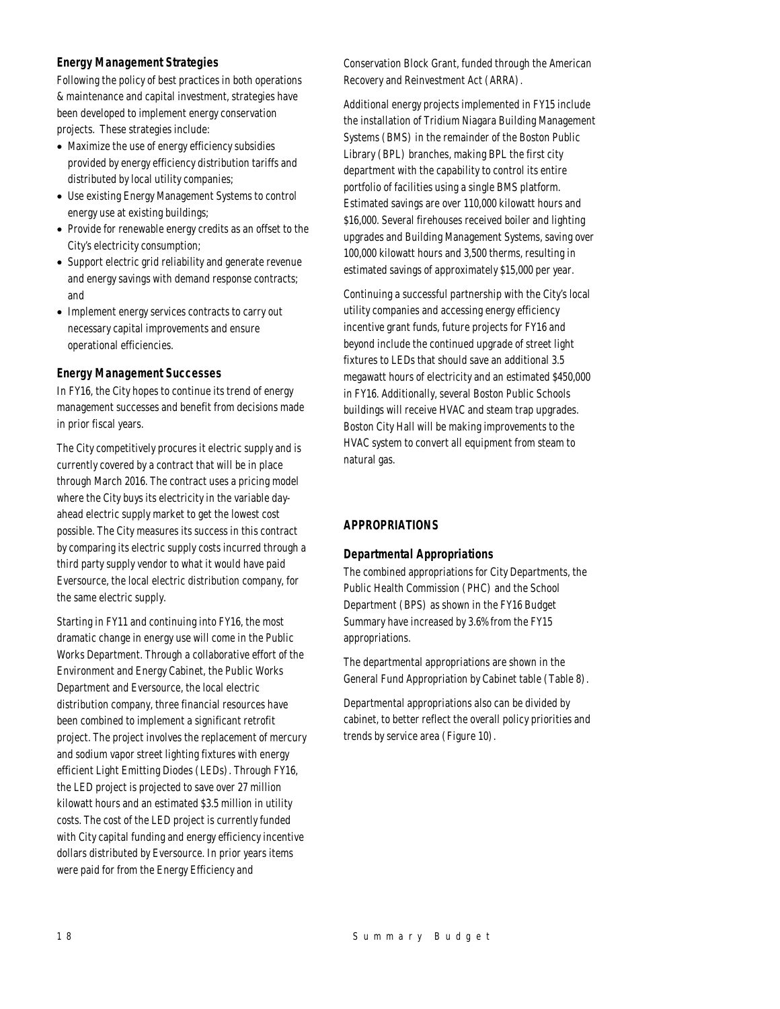# *Energy Management Strategies*

Following the policy of best practices in both operations & maintenance and capital investment, strategies have been developed to implement energy conservation projects. These strategies include:

- Maximize the use of energy efficiency subsidies provided by energy efficiency distribution tariffs and distributed by local utility companies;
- Use existing Energy Management Systems to control energy use at existing buildings;
- Provide for renewable energy credits as an offset to the City's electricity consumption;
- Support electric grid reliability and generate revenue and energy savings with demand response contracts; and
- Implement energy services contracts to carry out necessary capital improvements and ensure operational efficiencies.

#### *Energy Management Successes*

In FY16, the City hopes to continue its trend of energy management successes and benefit from decisions made in prior fiscal years.

The City competitively procures it electric supply and is currently covered by a contract that will be in place through March 2016. The contract uses a pricing model where the City buys its electricity in the variable dayahead electric supply market to get the lowest cost possible. The City measures its success in this contract by comparing its electric supply costs incurred through a third party supply vendor to what it would have paid Eversource, the local electric distribution company, for the same electric supply.

Starting in FY11 and continuing into FY16, the most dramatic change in energy use will come in the Public Works Department. Through a collaborative effort of the Environment and Energy Cabinet, the Public Works Department and Eversource, the local electric distribution company, three financial resources have been combined to implement a significant retrofit project. The project involves the replacement of mercury and sodium vapor street lighting fixtures with energy efficient Light Emitting Diodes (LEDs). Through FY16, the LED project is projected to save over 27 million kilowatt hours and an estimated \$3.5 million in utility costs. The cost of the LED project is currently funded with City capital funding and energy efficiency incentive dollars distributed by Eversource. In prior years items were paid for from the Energy Efficiency and

Conservation Block Grant, funded through the American Recovery and Reinvestment Act (ARRA).

Additional energy projects implemented in FY15 include the installation of Tridium Niagara Building Management Systems (BMS) in the remainder of the Boston Public Library (BPL) branches, making BPL the first city department with the capability to control its entire portfolio of facilities using a single BMS platform. Estimated savings are over 110,000 kilowatt hours and \$16,000. Several firehouses received boiler and lighting upgrades and Building Management Systems, saving over 100,000 kilowatt hours and 3,500 therms, resulting in estimated savings of approximately \$15,000 per year.

Continuing a successful partnership with the City's local utility companies and accessing energy efficiency incentive grant funds, future projects for FY16 and beyond include the continued upgrade of street light fixtures to LEDs that should save an additional 3.5 megawatt hours of electricity and an estimated \$450,000 in FY16. Additionally, several Boston Public Schools buildings will receive HVAC and steam trap upgrades. Boston City Hall will be making improvements to the HVAC system to convert all equipment from steam to natural gas.

# *APPROPRIATIONS*

# *Departmental Appropriations*

The combined appropriations for City Departments, the Public Health Commission (PHC) and the School Department (BPS) as shown in the FY16 Budget Summary have increased by 3.6% from the FY15 appropriations.

The departmental appropriations are shown in the General Fund Appropriation by Cabinet table (Table 8).

Departmental appropriations also can be divided by cabinet, to better reflect the overall policy priorities and trends by service area (Figure 10).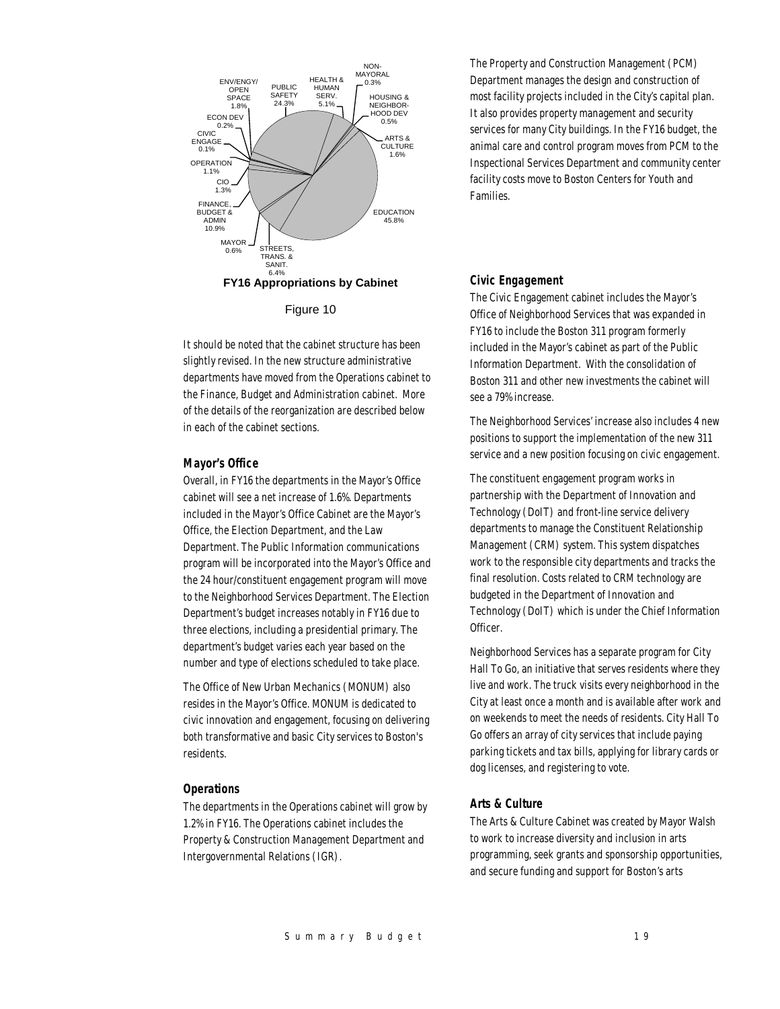

Figure 10

It should be noted that the cabinet structure has been slightly revised. In the new structure administrative departments have moved from the Operations cabinet to the Finance, Budget and Administration cabinet. More of the details of the reorganization are described below in each of the cabinet sections.

#### *Mayor's Office*

Overall, in FY16 the departments in the Mayor's Office cabinet will see a net increase of 1.6%. Departments included in the Mayor's Office Cabinet are the Mayor's Office, the Election Department, and the Law Department. The Public Information communications program will be incorporated into the Mayor's Office and the 24 hour/constituent engagement program will move to the Neighborhood Services Department. The Election Department's budget increases notably in FY16 due to three elections, including a presidential primary. The department's budget varies each year based on the number and type of elections scheduled to take place.

The Office of New Urban Mechanics (MONUM) also resides in the Mayor's Office. MONUM is dedicated to civic innovation and engagement, focusing on delivering both transformative and basic City services to Boston's residents.

#### *Operations*

The departments in the Operations cabinet will grow by 1.2% in FY16. The Operations cabinet includes the Property & Construction Management Department and Intergovernmental Relations (IGR).

The Property and Construction Management (PCM) Department manages the design and construction of most facility projects included in the City's capital plan. It also provides property management and security services for many City buildings. In the FY16 budget, the animal care and control program moves from PCM to the Inspectional Services Department and community center facility costs move to Boston Centers for Youth and Families.

#### *Civic Engagement*

The Civic Engagement cabinet includes the Mayor's Office of Neighborhood Services that was expanded in FY16 to include the Boston 311 program formerly included in the Mayor's cabinet as part of the Public Information Department. With the consolidation of Boston 311 and other new investments the cabinet will see a 79% increase.

The Neighborhood Services' increase also includes 4 new positions to support the implementation of the new 311 service and a new position focusing on civic engagement.

The constituent engagement program works in partnership with the Department of Innovation and Technology (DoIT) and front-line service delivery departments to manage the Constituent Relationship Management (CRM) system. This system dispatches work to the responsible city departments and tracks the final resolution. Costs related to CRM technology are budgeted in the Department of Innovation and Technology (DoIT) which is under the Chief Information Officer.

Neighborhood Services has a separate program for City Hall To Go, an initiative that serves residents where they live and work. The truck visits every neighborhood in the City at least once a month and is available after work and on weekends to meet the needs of residents. City Hall To Go offers an array of city services that include paying parking tickets and tax bills, applying for library cards or dog licenses, and registering to vote.

#### *Arts & Culture*

The Arts & Culture Cabinet was created by Mayor Walsh to work to increase diversity and inclusion in arts programming, seek grants and sponsorship opportunities, and secure funding and support for Boston's arts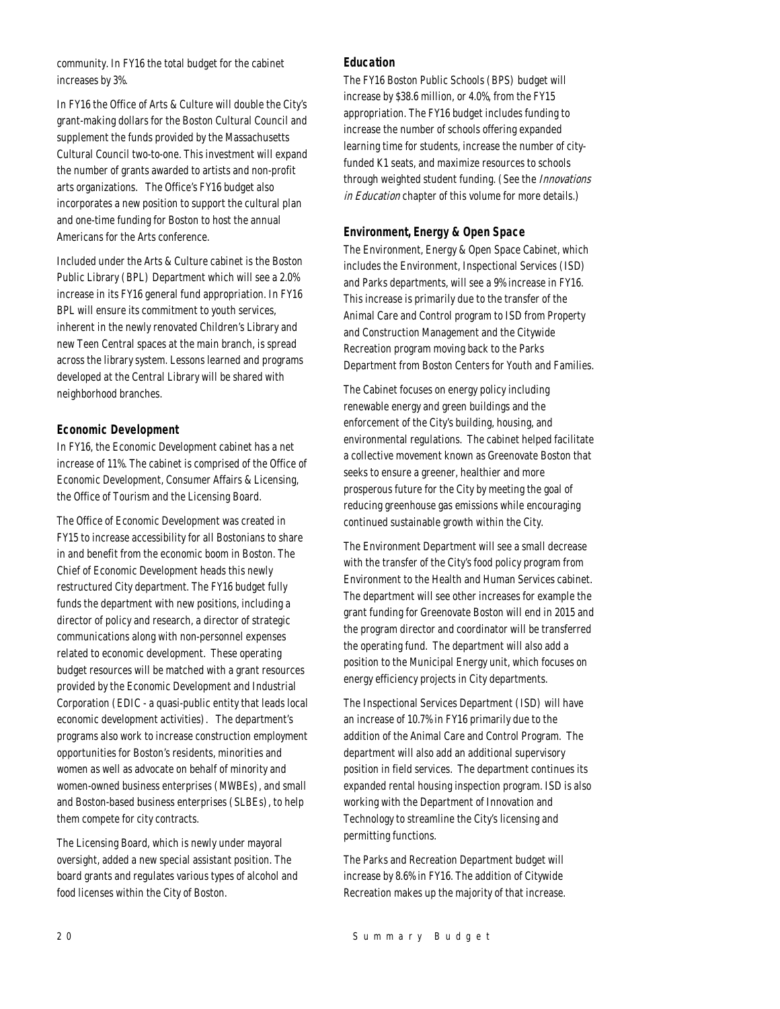community. In FY16 the total budget for the cabinet increases by 3%.

In FY16 the Office of Arts & Culture will double the City's grant-making dollars for the Boston Cultural Council and supplement the funds provided by the Massachusetts Cultural Council two-to-one. This investment will expand the number of grants awarded to artists and non-profit arts organizations. The Office's FY16 budget also incorporates a new position to support the cultural plan and one-time funding for Boston to host the annual Americans for the Arts conference.

Included under the Arts & Culture cabinet is the Boston Public Library (BPL) Department which will see a 2.0% increase in its FY16 general fund appropriation. In FY16 BPL will ensure its commitment to youth services, inherent in the newly renovated Children's Library and new Teen Central spaces at the main branch, is spread across the library system. Lessons learned and programs developed at the Central Library will be shared with neighborhood branches.

# *Economic Development*

In FY16, the Economic Development cabinet has a net increase of 11%. The cabinet is comprised of the Office of Economic Development, Consumer Affairs & Licensing, the Office of Tourism and the Licensing Board.

The Office of Economic Development was created in FY15 to increase accessibility for all Bostonians to share in and benefit from the economic boom in Boston. The Chief of Economic Development heads this newly restructured City department. The FY16 budget fully funds the department with new positions, including a director of policy and research, a director of strategic communications along with non-personnel expenses related to economic development. These operating budget resources will be matched with a grant resources provided by the Economic Development and Industrial Corporation (EDIC - a quasi-public entity that leads local economic development activities). The department's programs also work to increase construction employment opportunities for Boston's residents, minorities and women as well as advocate on behalf of minority and women-owned business enterprises (MWBEs), and small and Boston-based business enterprises (SLBEs), to help them compete for city contracts.

The Licensing Board, which is newly under mayoral oversight, added a new special assistant position. The board grants and regulates various types of alcohol and food licenses within the City of Boston.

# *Education*

The FY16 Boston Public Schools (BPS) budget will increase by \$38.6 million, or 4.0%, from the FY15 appropriation. The FY16 budget includes funding to increase the number of schools offering expanded learning time for students, increase the number of cityfunded K1 seats, and maximize resources to schools through weighted student funding. (See the *Innovations* in Education chapter of this volume for more details.)

#### *Environment, Energy & Open Space*

The Environment, Energy & Open Space Cabinet, which includes the Environment, Inspectional Services (ISD) and Parks departments, will see a 9% increase in FY16. This increase is primarily due to the transfer of the Animal Care and Control program to ISD from Property and Construction Management and the Citywide Recreation program moving back to the Parks Department from Boston Centers for Youth and Families.

The Cabinet focuses on energy policy including renewable energy and green buildings and the enforcement of the City's building, housing, and environmental regulations. The cabinet helped facilitate a collective movement known as Greenovate Boston that seeks to ensure a greener, healthier and more prosperous future for the City by meeting the goal of reducing greenhouse gas emissions while encouraging continued sustainable growth within the City.

The Environment Department will see a small decrease with the transfer of the City's food policy program from Environment to the Health and Human Services cabinet. The department will see other increases for example the grant funding for Greenovate Boston will end in 2015 and the program director and coordinator will be transferred the operating fund. The department will also add a position to the Municipal Energy unit, which focuses on energy efficiency projects in City departments.

The Inspectional Services Department (ISD) will have an increase of 10.7% in FY16 primarily due to the addition of the Animal Care and Control Program. The department will also add an additional supervisory position in field services. The department continues its expanded rental housing inspection program. ISD is also working with the Department of Innovation and Technology to streamline the City's licensing and permitting functions.

The Parks and Recreation Department budget will increase by 8.6% in FY16. The addition of Citywide Recreation makes up the majority of that increase.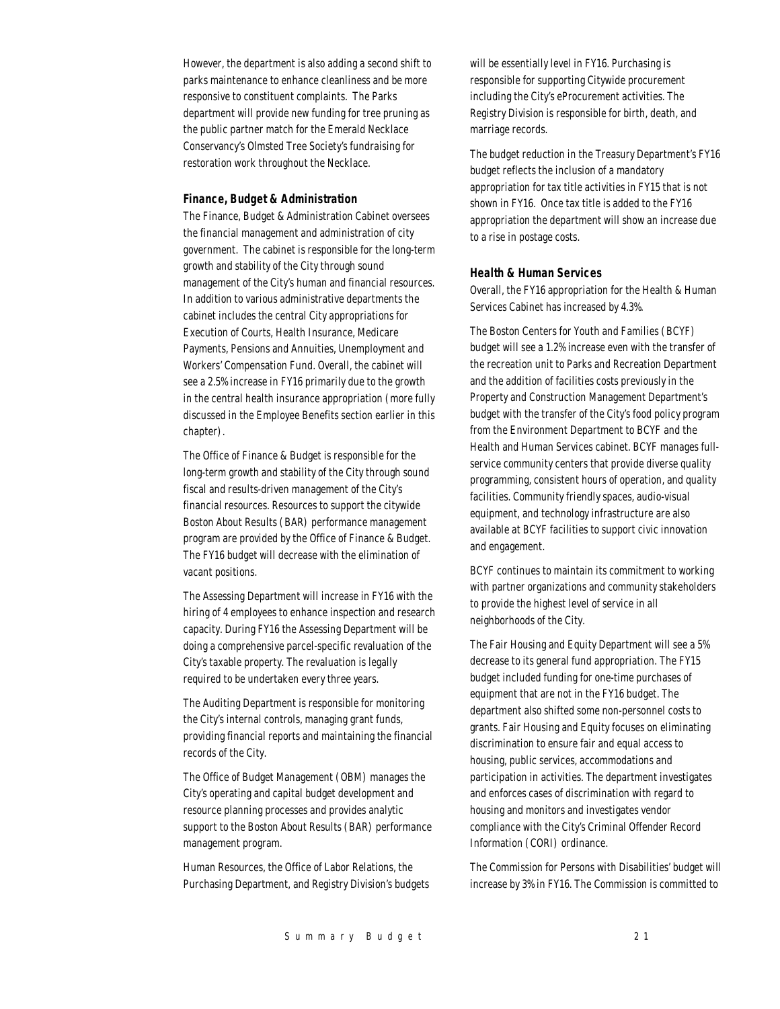However, the department is also adding a second shift to parks maintenance to enhance cleanliness and be more responsive to constituent complaints. The Parks department will provide new funding for tree pruning as the public partner match for the Emerald Necklace Conservancy's Olmsted Tree Society's fundraising for restoration work throughout the Necklace.

#### *Finance, Budget & Administration*

The Finance, Budget & Administration Cabinet oversees the financial management and administration of city government. The cabinet is responsible for the long-term growth and stability of the City through sound management of the City's human and financial resources. In addition to various administrative departments the cabinet includes the central City appropriations for Execution of Courts, Health Insurance, Medicare Payments, Pensions and Annuities, Unemployment and Workers' Compensation Fund. Overall, the cabinet will see a 2.5% increase in FY16 primarily due to the growth in the central health insurance appropriation (more fully discussed in the Employee Benefits section earlier in this chapter).

The Office of Finance & Budget is responsible for the long-term growth and stability of the City through sound fiscal and results-driven management of the City's financial resources. Resources to support the citywide Boston About Results (BAR) performance management program are provided by the Office of Finance & Budget. The FY16 budget will decrease with the elimination of vacant positions.

The Assessing Department will increase in FY16 with the hiring of 4 employees to enhance inspection and research capacity. During FY16 the Assessing Department will be doing a comprehensive parcel-specific revaluation of the City's taxable property. The revaluation is legally required to be undertaken every three years.

The Auditing Department is responsible for monitoring the City's internal controls, managing grant funds, providing financial reports and maintaining the financial records of the City.

The Office of Budget Management (OBM) manages the City's operating and capital budget development and resource planning processes and provides analytic support to the Boston About Results (BAR) performance management program.

Human Resources, the Office of Labor Relations, the Purchasing Department, and Registry Division's budgets

will be essentially level in FY16. Purchasing is responsible for supporting Citywide procurement including the City's eProcurement activities. The Registry Division is responsible for birth, death, and marriage records.

The budget reduction in the Treasury Department's FY16 budget reflects the inclusion of a mandatory appropriation for tax title activities in FY15 that is not shown in FY16. Once tax title is added to the FY16 appropriation the department will show an increase due to a rise in postage costs.

#### *Health & Human Services*

Overall, the FY16 appropriation for the Health & Human Services Cabinet has increased by 4.3%.

The Boston Centers for Youth and Families (BCYF) budget will see a 1.2% increase even with the transfer of the recreation unit to Parks and Recreation Department and the addition of facilities costs previously in the Property and Construction Management Department's budget with the transfer of the City's food policy program from the Environment Department to BCYF and the Health and Human Services cabinet. BCYF manages fullservice community centers that provide diverse quality programming, consistent hours of operation, and quality facilities. Community friendly spaces, audio-visual equipment, and technology infrastructure are also available at BCYF facilities to support civic innovation and engagement.

BCYF continues to maintain its commitment to working with partner organizations and community stakeholders to provide the highest level of service in all neighborhoods of the City.

The Fair Housing and Equity Department will see a 5% decrease to its general fund appropriation. The FY15 budget included funding for one-time purchases of equipment that are not in the FY16 budget. The department also shifted some non-personnel costs to grants. Fair Housing and Equity focuses on eliminating discrimination to ensure fair and equal access to housing, public services, accommodations and participation in activities. The department investigates and enforces cases of discrimination with regard to housing and monitors and investigates vendor compliance with the City's Criminal Offender Record Information (CORI) ordinance.

The Commission for Persons with Disabilities' budget will increase by 3% in FY16. The Commission is committed to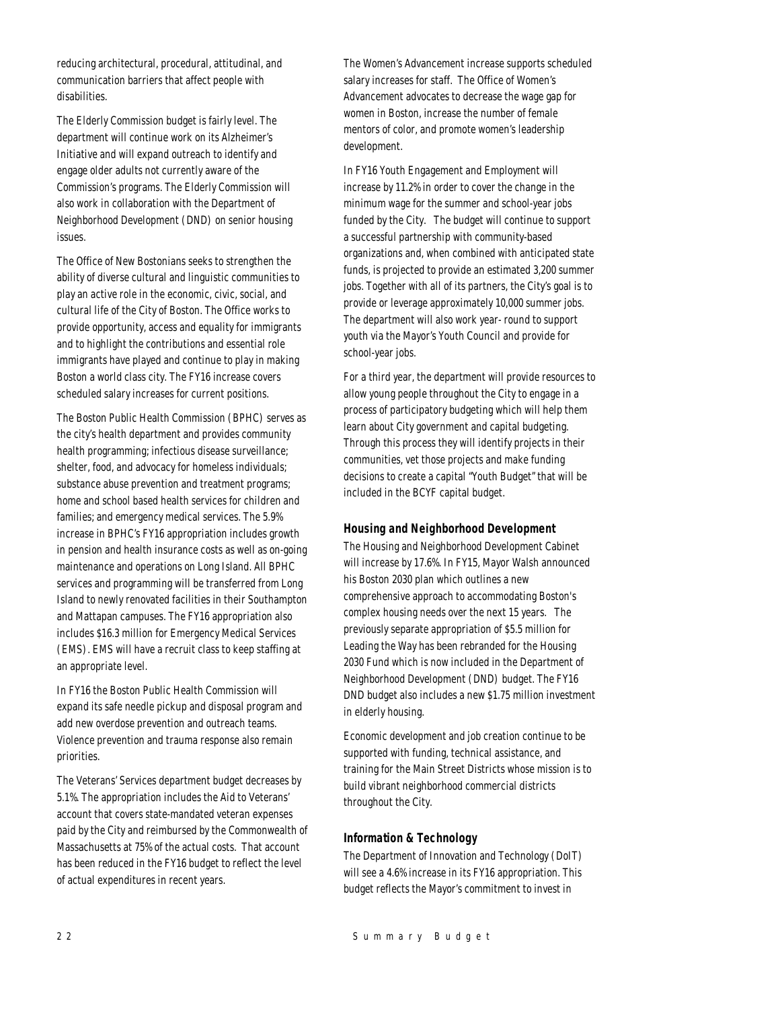reducing architectural, procedural, attitudinal, and communication barriers that affect people with disabilities.

The Elderly Commission budget is fairly level. The department will continue work on its Alzheimer's Initiative and will expand outreach to identify and engage older adults not currently aware of the Commission's programs. The Elderly Commission will also work in collaboration with the Department of Neighborhood Development (DND) on senior housing issues.

The Office of New Bostonians seeks to strengthen the ability of diverse cultural and linguistic communities to play an active role in the economic, civic, social, and cultural life of the City of Boston. The Office works to provide opportunity, access and equality for immigrants and to highlight the contributions and essential role immigrants have played and continue to play in making Boston a world class city. The FY16 increase covers scheduled salary increases for current positions.

The Boston Public Health Commission (BPHC) serves as the city's health department and provides community health programming; infectious disease surveillance; shelter, food, and advocacy for homeless individuals; substance abuse prevention and treatment programs; home and school based health services for children and families; and emergency medical services. The 5.9% increase in BPHC's FY16 appropriation includes growth in pension and health insurance costs as well as on-going maintenance and operations on Long Island. All BPHC services and programming will be transferred from Long Island to newly renovated facilities in their Southampton and Mattapan campuses. The FY16 appropriation also includes \$16.3 million for Emergency Medical Services (EMS). EMS will have a recruit class to keep staffing at an appropriate level.

In FY16 the Boston Public Health Commission will expand its safe needle pickup and disposal program and add new overdose prevention and outreach teams. Violence prevention and trauma response also remain priorities.

The Veterans' Services department budget decreases by 5.1%. The appropriation includes the Aid to Veterans' account that covers state-mandated veteran expenses paid by the City and reimbursed by the Commonwealth of Massachusetts at 75% of the actual costs. That account has been reduced in the FY16 budget to reflect the level of actual expenditures in recent years.

The Women's Advancement increase supports scheduled salary increases for staff. The Office of Women's Advancement advocates to decrease the wage gap for women in Boston, increase the number of female mentors of color, and promote women's leadership development.

In FY16 Youth Engagement and Employment will increase by 11.2% in order to cover the change in the minimum wage for the summer and school-year jobs funded by the City. The budget will continue to support a successful partnership with community-based organizations and, when combined with anticipated state funds, is projected to provide an estimated 3,200 summer jobs. Together with all of its partners, the City's goal is to provide or leverage approximately 10,000 summer jobs. The department will also work year- round to support youth via the Mayor's Youth Council and provide for school-year jobs.

For a third year, the department will provide resources to allow young people throughout the City to engage in a process of participatory budgeting which will help them learn about City government and capital budgeting. Through this process they will identify projects in their communities, vet those projects and make funding decisions to create a capital "Youth Budget" that will be included in the BCYF capital budget.

#### *Housing and Neighborhood Development*

The Housing and Neighborhood Development Cabinet will increase by 17.6%. In FY15, Mayor Walsh announced his Boston 2030 plan which outlines a new comprehensive approach to accommodating Boston's complex housing needs over the next 15 years. The previously separate appropriation of \$5.5 million for Leading the Way has been rebranded for the Housing 2030 Fund which is now included in the Department of Neighborhood Development (DND) budget. The FY16 DND budget also includes a new \$1.75 million investment in elderly housing.

Economic development and job creation continue to be supported with funding, technical assistance, and training for the Main Street Districts whose mission is to build vibrant neighborhood commercial districts throughout the City.

#### *Information & Technology*

The Department of Innovation and Technology (DoIT) will see a 4.6% increase in its FY16 appropriation. This budget reflects the Mayor's commitment to invest in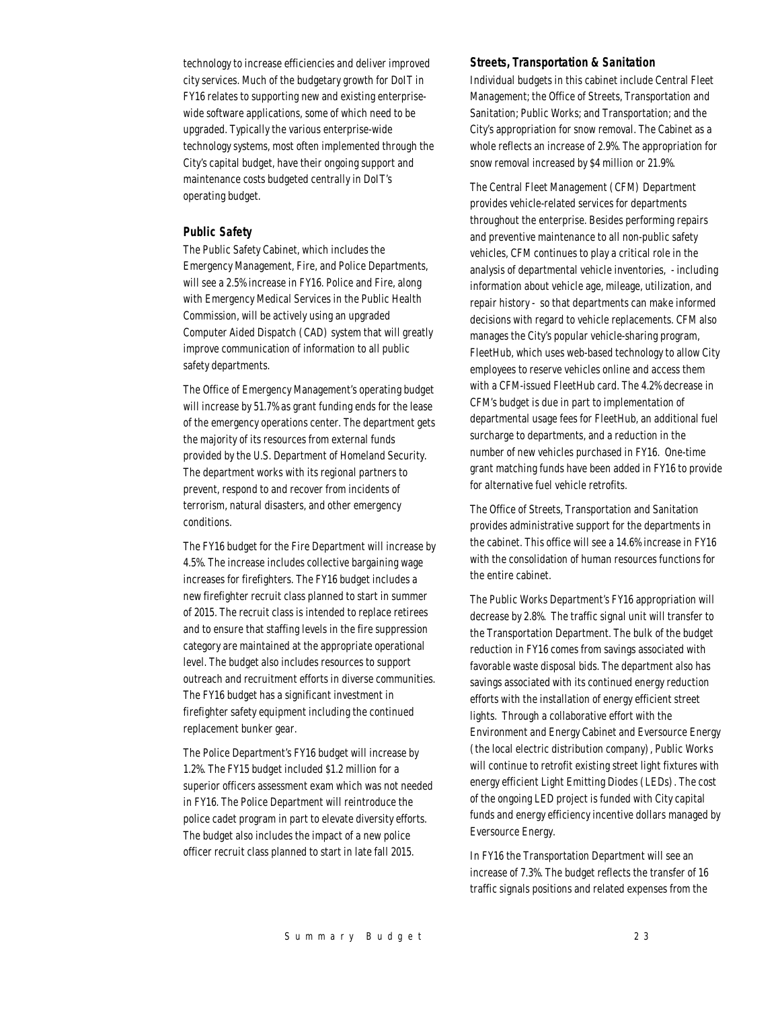technology to increase efficiencies and deliver improved city services. Much of the budgetary growth for DoIT in FY16 relates to supporting new and existing enterprisewide software applications, some of which need to be upgraded. Typically the various enterprise-wide technology systems, most often implemented through the City's capital budget, have their ongoing support and maintenance costs budgeted centrally in DoIT's operating budget.

#### *Public Safety*

The Public Safety Cabinet, which includes the Emergency Management, Fire, and Police Departments, will see a 2.5% increase in FY16. Police and Fire, along with Emergency Medical Services in the Public Health Commission, will be actively using an upgraded Computer Aided Dispatch (CAD) system that will greatly improve communication of information to all public safety departments.

The Office of Emergency Management's operating budget will increase by 51.7% as grant funding ends for the lease of the emergency operations center. The department gets the majority of its resources from external funds provided by the U.S. Department of Homeland Security. The department works with its regional partners to prevent, respond to and recover from incidents of terrorism, natural disasters, and other emergency conditions.

The FY16 budget for the Fire Department will increase by 4.5%. The increase includes collective bargaining wage increases for firefighters. The FY16 budget includes a new firefighter recruit class planned to start in summer of 2015. The recruit class is intended to replace retirees and to ensure that staffing levels in the fire suppression category are maintained at the appropriate operational level. The budget also includes resources to support outreach and recruitment efforts in diverse communities. The FY16 budget has a significant investment in firefighter safety equipment including the continued replacement bunker gear.

The Police Department's FY16 budget will increase by 1.2%. The FY15 budget included \$1.2 million for a superior officers assessment exam which was not needed in FY16. The Police Department will reintroduce the police cadet program in part to elevate diversity efforts. The budget also includes the impact of a new police officer recruit class planned to start in late fall 2015.

#### *Streets, Transportation & Sanitation*

Individual budgets in this cabinet include Central Fleet Management; the Office of Streets, Transportation and Sanitation; Public Works; and Transportation; and the City's appropriation for snow removal. The Cabinet as a whole reflects an increase of 2.9%. The appropriation for snow removal increased by \$4 million or 21.9%.

The Central Fleet Management (CFM) Department provides vehicle-related services for departments throughout the enterprise. Besides performing repairs and preventive maintenance to all non-public safety vehicles, CFM continues to play a critical role in the analysis of departmental vehicle inventories, - including information about vehicle age, mileage, utilization, and repair history - so that departments can make informed decisions with regard to vehicle replacements. CFM also manages the City's popular vehicle-sharing program, FleetHub, which uses web-based technology to allow City employees to reserve vehicles online and access them with a CFM-issued FleetHub card. The 4.2% decrease in CFM's budget is due in part to implementation of departmental usage fees for FleetHub, an additional fuel surcharge to departments, and a reduction in the number of new vehicles purchased in FY16. One-time grant matching funds have been added in FY16 to provide for alternative fuel vehicle retrofits.

The Office of Streets, Transportation and Sanitation provides administrative support for the departments in the cabinet. This office will see a 14.6% increase in FY16 with the consolidation of human resources functions for the entire cabinet.

The Public Works Department's FY16 appropriation will decrease by 2.8%. The traffic signal unit will transfer to the Transportation Department. The bulk of the budget reduction in FY16 comes from savings associated with favorable waste disposal bids. The department also has savings associated with its continued energy reduction efforts with the installation of energy efficient street lights. Through a collaborative effort with the Environment and Energy Cabinet and Eversource Energy (the local electric distribution company), Public Works will continue to retrofit existing street light fixtures with energy efficient Light Emitting Diodes (LEDs). The cost of the ongoing LED project is funded with City capital funds and energy efficiency incentive dollars managed by Eversource Energy.

In FY16 the Transportation Department will see an increase of 7.3%. The budget reflects the transfer of 16 traffic signals positions and related expenses from the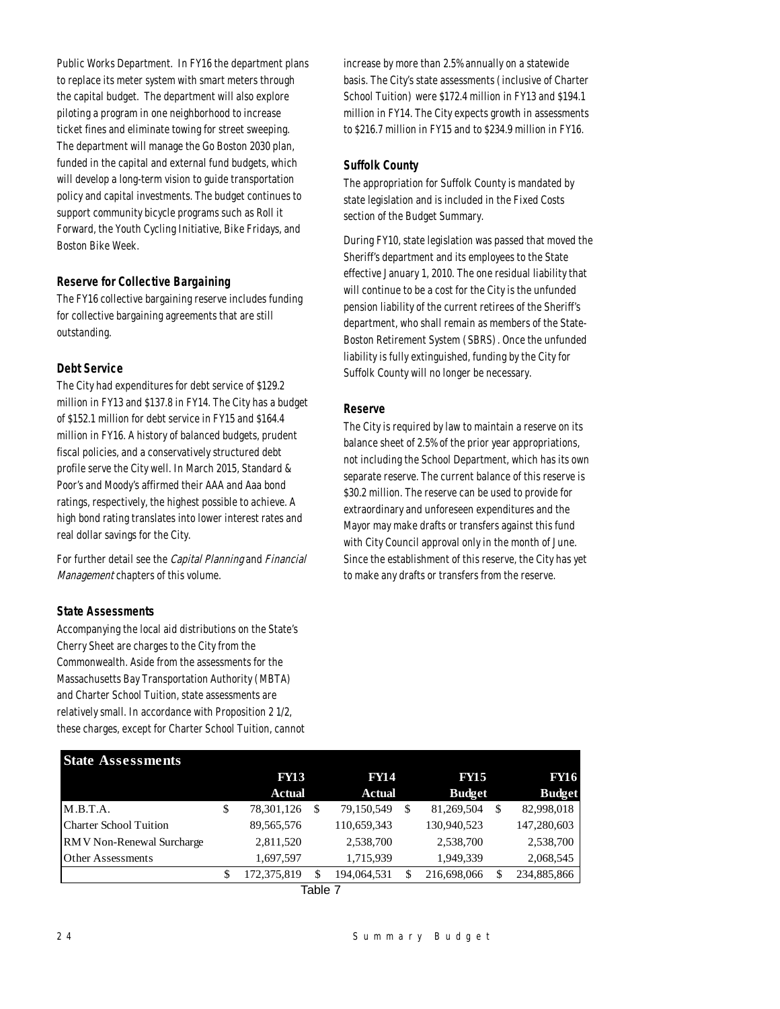Public Works Department. In FY16 the department plans to replace its meter system with smart meters through the capital budget. The department will also explore piloting a program in one neighborhood to increase ticket fines and eliminate towing for street sweeping. The department will manage the Go Boston 2030 plan, funded in the capital and external fund budgets, which will develop a long-term vision to guide transportation policy and capital investments. The budget continues to support community bicycle programs such as Roll it Forward, the Youth Cycling Initiative, Bike Fridays, and Boston Bike Week.

# *Reserve for Collective Bargaining*

The FY16 collective bargaining reserve includes funding for collective bargaining agreements that are still outstanding.

# *Debt Service*

The City had expenditures for debt service of \$129.2 million in FY13 and \$137.8 in FY14. The City has a budget of \$152.1 million for debt service in FY15 and \$164.4 million in FY16. A history of balanced budgets, prudent fiscal policies, and a conservatively structured debt profile serve the City well. In March 2015, Standard & Poor's and Moody's affirmed their AAA and Aaa bond ratings, respectively, the highest possible to achieve. A high bond rating translates into lower interest rates and real dollar savings for the City.

For further detail see the Capital Planning and Financial Management chapters of this volume.

#### *State Assessments*

Accompanying the local aid distributions on the State's Cherry Sheet are charges to the City from the Commonwealth. Aside from the assessments for the Massachusetts Bay Transportation Authority (MBTA) and Charter School Tuition, state assessments are relatively small. In accordance with Proposition 2 1/2, these charges, except for Charter School Tuition, cannot increase by more than 2.5% annually on a statewide basis. The City's state assessments (inclusive of Charter School Tuition) were \$172.4 million in FY13 and \$194.1 million in FY14. The City expects growth in assessments to \$216.7 million in FY15 and to \$234.9 million in FY16.

#### *Suffolk County*

The appropriation for Suffolk County is mandated by state legislation and is included in the Fixed Costs section of the Budget Summary.

During FY10, state legislation was passed that moved the Sheriff's department and its employees to the State effective January 1, 2010. The one residual liability that will continue to be a cost for the City is the unfunded pension liability of the current retirees of the Sheriff's department, who shall remain as members of the State-Boston Retirement System (SBRS). Once the unfunded liability is fully extinguished, funding by the City for Suffolk County will no longer be necessary.

# *Reserve*

The City is required by law to maintain a reserve on its balance sheet of 2.5% of the prior year appropriations, not including the School Department, which has its own separate reserve. The current balance of this reserve is \$30.2 million. The reserve can be used to provide for extraordinary and unforeseen expenditures and the Mayor may make drafts or transfers against this fund with City Council approval only in the month of June. Since the establishment of this reserve, the City has yet to make any drafts or transfers from the reserve.

| <b>State Assessments</b>         |                   |               |             |                              |             |               |             |
|----------------------------------|-------------------|---------------|-------------|------------------------------|-------------|---------------|-------------|
|                                  | <b>FY13</b>       |               | <b>FY14</b> | <b>FY15</b><br><b>Budget</b> |             | <b>FY16</b>   |             |
|                                  | <b>Actual</b>     | <b>Actual</b> |             |                              |             | <b>Budget</b> |             |
| M.B.T.A.                         | \$<br>78,301,126  | S             | 79,150,549  | \$                           | 81,269,504  | S             | 82,998,018  |
| <b>Charter School Tuition</b>    | 89,565,576        |               | 110,659,343 |                              | 130,940,523 |               | 147,280,603 |
| <b>RMV</b> Non-Renewal Surcharge | 2,811,520         |               | 2,538,700   |                              | 2,538,700   |               | 2,538,700   |
| <b>Other Assessments</b>         | 1,697,597         |               | 1,715,939   |                              | 1,949,339   |               | 2,068,545   |
|                                  | \$<br>172,375,819 |               | 194,064,531 | \$                           | 216,698,066 |               | 234,885,866 |
|                                  |                   |               |             |                              |             |               |             |

| ٦L.<br>. . |  |
|------------|--|
|------------|--|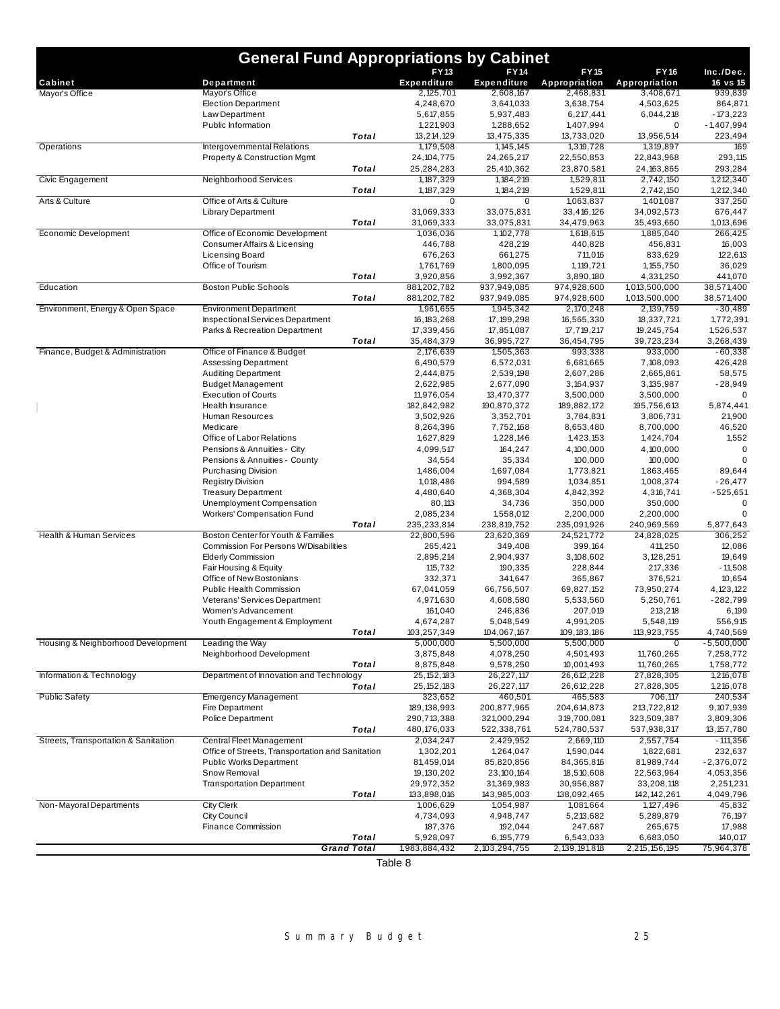| <b>General Fund Appropriations by Cabinet</b> |                                                    |              |                                 |                                 |                            |                            |                         |  |
|-----------------------------------------------|----------------------------------------------------|--------------|---------------------------------|---------------------------------|----------------------------|----------------------------|-------------------------|--|
|                                               |                                                    |              | <b>FY13</b>                     | <b>FY14</b>                     | <b>FY15</b>                | <b>FY16</b>                | Inc./Dec.               |  |
| Cabinet                                       | Department<br>Mayor's Office                       |              | <b>Expenditure</b><br>2,125,701 | <b>Expenditure</b><br>2,608,167 | Appropriation<br>2,468,831 | Appropriation<br>3,408,671 | $16$ vs $15$<br>939,839 |  |
| Mayor's Office                                | <b>Election Department</b>                         |              | 4,248,670                       | 3,641,033                       | 3,638,754                  | 4,503,625                  | 864,871                 |  |
|                                               | Law Department                                     |              | 5,617,855                       | 5,937,483                       | 6,217,441                  | 6,044,218                  | $-173,223$              |  |
|                                               | Public Information                                 |              | 1,221,903                       | 1,288,652                       | 1,407,994                  | 0                          | $-1,407,994$            |  |
|                                               |                                                    | Total        | 13,214,129                      | 13,475,335                      | 13,733,020                 | 13,956,514                 | 223,494                 |  |
| Operations                                    | Intergovernmental Relations                        |              | 1,179,508                       | 1, 145, 145                     | 1,319,728                  | 1,319,897                  | 169                     |  |
|                                               | <b>Property &amp; Construction Mgmt</b>            |              | 24, 104, 775                    | 24,265,217                      | 22,550,853                 | 22,843,968                 | 293,115                 |  |
|                                               |                                                    | <b>Total</b> | 25,284,283                      | 25,410,362                      | 23,870,581                 | 24, 163, 865               | 293,284                 |  |
| Civic Engagement                              | Neighborhood Services                              | Total        | 1, 187, 329<br>1, 187, 329      | 1, 184, 219<br>1, 184, 219      | 1,529,811<br>1,529,811     | 2,742,150                  | 1,212,340               |  |
| Arts & Culture                                | Office of Arts & Culture                           |              | $\mathbf 0$                     | 0                               | 1,063,837                  | 2,742,150<br>1,401,087     | 1,212,340<br>337,250    |  |
|                                               | <b>Library Department</b>                          |              | 31,069,333                      | 33,075,831                      | 33,416,126                 | 34,092,573                 | 676,447                 |  |
|                                               |                                                    | Total        | 31,069,333                      | 33,075,831                      | 34,479,963                 | 35,493,660                 | 1,013,696               |  |
| Economic Development                          | Office of Economic Development                     |              | 1,036,036                       | 1, 102, 778                     | 1,618,615                  | 1,885,040                  | 266,425                 |  |
|                                               | Consumer Affairs & Licensing                       |              | 446,788                         | 428,219                         | 440,828                    | 456,831                    | 16,003                  |  |
|                                               | Licensing Board                                    |              | 676,263                         | 661,275                         | 711,016                    | 833,629                    | 122,613                 |  |
|                                               | Office of Tourism                                  |              | 1,761,769                       | 1,800,095                       | 1,119,721                  | 1, 155, 750                | 36,029                  |  |
|                                               |                                                    | Total        | 3,920,856                       | 3,992,367                       | 3,890,180                  | 4,331,250                  | 441,070                 |  |
| Education                                     | <b>Boston Public Schools</b>                       | <b>Total</b> | 881,202,782                     | 937,949,085                     | 974,928,600<br>974,928,600 | 1,013,500,000              | 38,571,400              |  |
| Environment, Energy & Open Space              | <b>Environment Department</b>                      |              | 881,202,782<br>1,961,655        | 937,949,085<br>1,945,342        | 2,170,248                  | 1,013,500,000<br>2,139,759 | 38,571,400<br>$-30.489$ |  |
|                                               | <b>Inspectional Services Department</b>            |              | 16, 183, 268                    | 17, 199, 298                    | 16,565,330                 | 18,337,721                 | 1,772,391               |  |
|                                               | Parks & Recreation Department                      |              | 17,339,456                      | 17,851,087                      | 17,719,217                 | 19,245,754                 | 1,526,537               |  |
|                                               |                                                    | Total        | 35,484,379                      | 36,995,727                      | 36,454,795                 | 39,723,234                 | 3,268,439               |  |
| Finance, Budget & Administration              | Office of Finance & Budget                         |              | 2,176,639                       | 1,505,363                       | 993,338                    | 933,000                    | $-60,338$               |  |
|                                               | <b>Assessing Department</b>                        |              | 6,490,579                       | 6,572,031                       | 6,681,665                  | 7,108,093                  | 426,428                 |  |
|                                               | <b>Auditing Department</b>                         |              | 2,444,875                       | 2,539,198                       | 2,607,286                  | 2,665,861                  | 58,575                  |  |
|                                               | <b>Budget Management</b>                           |              | 2,622,985                       | 2,677,090                       | 3, 164, 937                | 3, 135, 987                | $-28,949$               |  |
|                                               | <b>Execution of Courts</b>                         |              | 11,976,054                      | 13,470,377                      | 3,500,000                  | 3,500,000                  | 0                       |  |
|                                               | Health Insurance                                   |              | 182,842,982                     | 190,870,372                     | 189,882,172                | 195,756,613                | 5,874,441               |  |
|                                               | Human Resources                                    |              | 3,502,926                       | 3,352,701                       | 3,784,831                  | 3,806,731                  | 21,900                  |  |
|                                               | Medicare<br>Office of Labor Relations              |              | 8,264,396<br>1,627,829          | 7,752,168<br>1,228,146          | 8,653,480<br>1,423,153     | 8,700,000<br>1,424,704     | 46,520<br>1,552         |  |
|                                               | Pensions & Annuities - City                        |              | 4,099,517                       | 164,247                         | 4,100,000                  | 4,100,000                  | $\mathbf 0$             |  |
|                                               | Pensions & Annuities - County                      |              | 34,554                          | 35,334                          | 100,000                    | 100,000                    | $\Omega$                |  |
|                                               | <b>Purchasing Division</b>                         |              | 1,486,004                       | 1,697,084                       | 1,773,821                  | 1,863,465                  | 89,644                  |  |
|                                               | <b>Registry Division</b>                           |              | 1,018,486                       | 994,589                         | 1,034,851                  | 1,008,374                  | $-26,477$               |  |
|                                               | <b>Treasury Department</b>                         |              | 4,480,640                       | 4,368,304                       | 4,842,392                  | 4,316,741                  | $-525,651$              |  |
|                                               | Unemployment Compensation                          |              | 80,113                          | 34,736                          | 350,000                    | 350,000                    | 0                       |  |
|                                               | Workers' Compensation Fund                         |              | 2,085,234                       | 1,558,012                       | 2,200,000                  | 2,200,000                  | $\Omega$                |  |
|                                               |                                                    | Total        | 235,233,814                     | 238,819,752                     | 235,091,926                | 240,969,569                | 5,877,643               |  |
| <b>Health &amp; Human Services</b>            | Boston Center for Youth & Families                 |              | 22,800,596                      | 23,620,369                      | 24,521,772                 | 24,828,025                 | 306,252                 |  |
|                                               | Commission For Persons W/Disabilities              |              | 265,421                         | 349,408                         | 399,164                    | 411,250                    | 12,086                  |  |
|                                               | <b>Elderly Commission</b><br>Fair Housing & Equity |              | 2,895,214<br>115,732            | 2,904,937<br>190,335            | 3,108,602<br>228,844       | 3,128,251<br>217,336       | 19,649<br>$-11,508$     |  |
|                                               | Office of New Bostonians                           |              | 332,371                         | 341,647                         | 365,867                    | 376,521                    | 10,654                  |  |
|                                               | Public Health Commission                           |              | 67,041,059                      | 66,756,507                      | 69,827,152                 | 73,950,274                 | 4, 123, 122             |  |
|                                               | Veterans' Services Department                      |              | 4,971,630                       | 4,608,580                       | 5,533,560                  | 5,250,761                  | $-282,799$              |  |
|                                               | Women's Advancement                                |              | 161,040                         | 246,836                         | 207,019                    | 213,218                    | 6,199                   |  |
|                                               | Youth Engagement & Employment                      |              | 4,674,287                       | 5,048,549                       | 4,991,205                  | 5,548,119                  | 556,915                 |  |
|                                               |                                                    | Total        | 103,257,349                     | 104,067,167                     | 109, 183, 186              | 113,923,755                | 4,740,569               |  |
| Housing & Neighborhood Development            | Leading the Way                                    |              | 5,000,000                       | 5,500,000                       | 5,500,000                  | $\Omega$                   | $-5,500,000$            |  |
|                                               | Neighborhood Development                           |              | 3,875,848                       | 4,078,250                       | 4,501,493                  | 11,760,265                 | 7,258,772               |  |
|                                               |                                                    | Total        | 8,875,848                       | 9,578,250                       | 10,001,493                 | 11,760,265                 | 1,758,772               |  |
| Information & Technology                      | Department of Innovation and Technology            | Total        | 25, 152, 183                    | 26,227,117                      | 26,612,228                 | 27,828,305<br>27,828,305   | 1,216,078               |  |
| <b>Public Safety</b>                          | <b>Emergency Management</b>                        |              | 25, 152, 183<br>323,652         | 26,227,117<br>460,501           | 26,612,228<br>465,583      | 706,117                    | 1,216,078<br>240,534    |  |
|                                               | Fire Department                                    |              | 189, 138, 993                   | 200,877,965                     | 204,614,873                | 213,722,812                | 9,107,939               |  |
|                                               | Police Department                                  |              | 290,713,388                     | 321,000,294                     | 319,700,081                | 323,509,387                | 3,809,306               |  |
|                                               |                                                    | Total        | 480,176,033                     | 522,338,761                     | 524,780,537                | 537,938,317                | 13, 157, 780            |  |
| Streets, Transportation & Sanitation          | <b>Central Fleet Management</b>                    |              | 2,034,247                       | 2,429,952                       | 2,669,110                  | 2,557,754                  | $-111,356$              |  |
|                                               | Office of Streets, Transportation and Sanitation   |              | 1,302,201                       | 1,264,047                       | 1,590,044                  | 1,822,681                  | 232,637                 |  |
|                                               | <b>Public Works Department</b>                     |              | 81,459,014                      | 85,820,856                      | 84,365,816                 | 81,989,744                 | $-2,376,072$            |  |
|                                               | Snow Removal                                       |              | 19, 130, 202                    | 23, 100, 164                    | 18,510,608                 | 22,563,964                 | 4,053,356               |  |
|                                               | <b>Transportation Department</b>                   |              | 29,972,352                      | 31,369,983                      | 30,956,887                 | 33,208,118                 | 2,251,231               |  |
|                                               |                                                    | Total        | 133,898,016                     | 143,985,003                     | 138,092,465                | 142, 142, 261              | 4,049,796               |  |
| Non-Mayoral Departments                       | <b>City Clerk</b>                                  |              | 1,006,629                       | 1,054,987                       | 1,081,664                  | 1, 127, 496                | 45,832                  |  |
|                                               | City Council                                       |              | 4,734,093                       | 4,948,747                       | 5,213,682                  | 5,289,879                  | 76,197                  |  |
|                                               | Finance Commission                                 | Total        | 187,376<br>5,928,097            | 192,044<br>6, 195, 779          | 247,687<br>6,543,033       | 265,675<br>6,683,050       | 17,988<br>140,017       |  |
|                                               | <b>Grand Total</b>                                 |              | 1,983,884,432                   | 2, 103, 294, 755                | 2, 139, 191, 818           | 2,215,156,195              | 75,964,378              |  |
|                                               |                                                    |              | Table 0                         |                                 |                            |                            |                         |  |

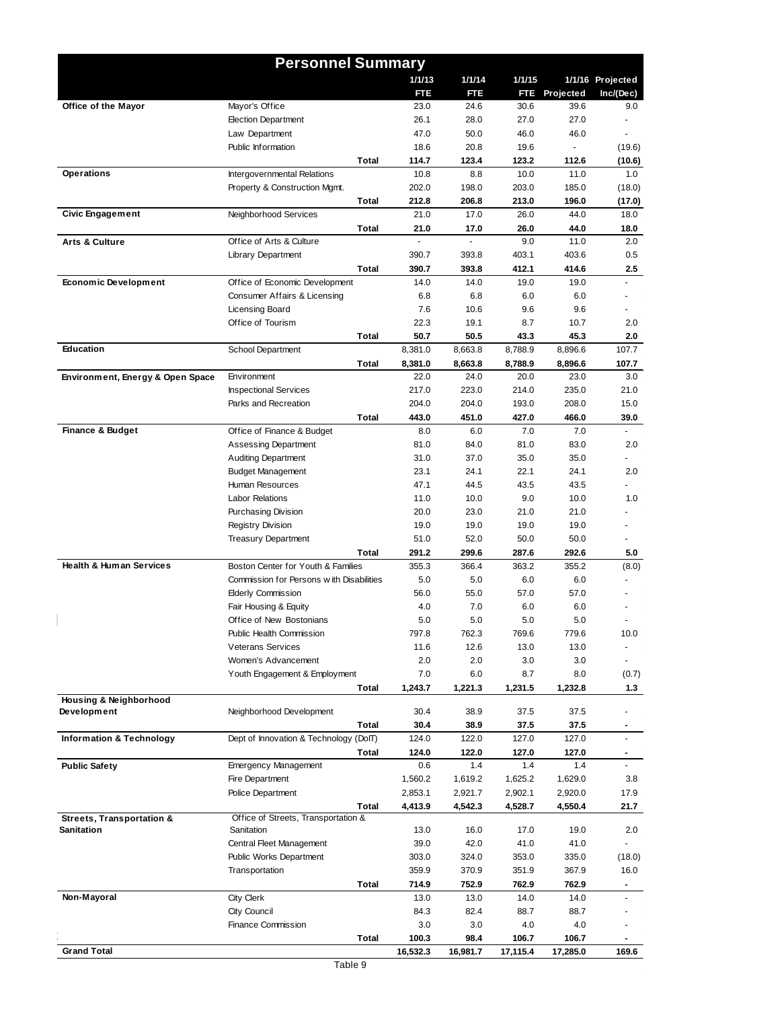|                                    | <b>Personnel Summary</b>                                     |       |               |               |               |               |                  |
|------------------------------------|--------------------------------------------------------------|-------|---------------|---------------|---------------|---------------|------------------|
|                                    |                                                              |       | 1/1/13        | 1/1/14        | 1/1/15        |               | 1/1/16 Projected |
|                                    |                                                              |       | FTE           | FTE           |               | FTE Projected | Inc/(Dec)        |
| Office of the Mayor                | Mayor's Office                                               |       | 23.0          | 24.6          | 30.6          | 39.6          | 9.0              |
|                                    | <b>Election Department</b>                                   |       | 26.1          | 28.0          | 27.0          | 27.0          |                  |
|                                    | Law Department                                               |       | 47.0          | 50.0          | 46.0          | 46.0          |                  |
|                                    | Public Information                                           |       | 18.6          | 20.8          | 19.6          |               | (19.6)           |
| <b>Operations</b>                  | Total                                                        |       | 114.7         | 123.4         | 123.2         | 112.6         | (10.6)           |
|                                    | Intergovernmental Relations<br>Property & Construction Mgmt. |       | 10.8<br>202.0 | 8.8<br>198.0  | 10.0<br>203.0 | 11.0<br>185.0 | 1.0<br>(18.0)    |
|                                    | <b>Total</b>                                                 |       | 212.8         | 206.8         | 213.0         | 196.0         | (17.0)           |
| <b>Civic Engagement</b>            | Neighborhood Services                                        |       | 21.0          | 17.0          | 26.0          | 44.0          | 18.0             |
|                                    | <b>Total</b>                                                 |       | 21.0          | 17.0          | 26.0          | 44.0          | 18.0             |
| <b>Arts &amp; Culture</b>          | Office of Arts & Culture                                     |       |               |               | 9.0           | 11.0          | 2.0              |
|                                    | Library Department                                           |       | 390.7         | 393.8         | 403.1         | 403.6         | 0.5              |
|                                    | Total                                                        |       | 390.7         | 393.8         | 412.1         | 414.6         | 2.5              |
| <b>Economic Development</b>        | Office of Economic Development                               |       | 14.0          | 14.0          | 19.0          | 19.0          |                  |
|                                    | Consumer Affairs & Licensing                                 |       | 6.8           | 6.8           | 6.0           | 6.0           |                  |
|                                    | Licensing Board                                              |       | 7.6           | 10.6          | 9.6           | 9.6           |                  |
|                                    | Office of Tourism                                            |       | 22.3          | 19.1          | 8.7           | 10.7          | 2.0              |
|                                    | Total                                                        |       | 50.7          | 50.5          | 43.3          | 45.3          | 2.0              |
| Education                          | <b>School Department</b>                                     |       | 8,381.0       | 8,663.8       | 8,788.9       | 8,896.6       | 107.7            |
|                                    | <b>Total</b>                                                 |       | 8,381.0       | 8,663.8       | 8,788.9       | 8,896.6       | 107.7            |
| Environment, Energy & Open Space   | Environment                                                  |       | 22.0          | 24.0          | 20.0          | 23.0          | 3.0              |
|                                    | <b>Inspectional Services</b>                                 |       | 217.0         | 223.0         | 214.0         | 235.0         | 21.0             |
|                                    | Parks and Recreation                                         |       | 204.0         | 204.0         | 193.0         | 208.0         | 15.0             |
|                                    | Total                                                        |       | 443.0         | 451.0         | 427.0         | 466.0         | 39.0             |
| <b>Finance &amp; Budget</b>        | Office of Finance & Budget<br><b>Assessing Department</b>    |       | 8.0<br>81.0   | 6.0<br>84.0   | 7.0<br>81.0   | 7.0<br>83.0   | 2.0              |
|                                    | <b>Auditing Department</b>                                   |       | 31.0          | 37.0          | 35.0          | 35.0          |                  |
|                                    | <b>Budget Management</b>                                     |       | 23.1          | 24.1          | 22.1          | 24.1          | 2.0              |
|                                    | Human Resources                                              |       | 47.1          | 44.5          | 43.5          | 43.5          |                  |
|                                    | <b>Labor Relations</b>                                       |       | 11.0          | 10.0          | 9.0           | 10.0          | 1.0              |
|                                    | Purchasing Division                                          |       | 20.0          | 23.0          | 21.0          | 21.0          |                  |
|                                    | <b>Registry Division</b>                                     |       | 19.0          | 19.0          | 19.0          | 19.0          |                  |
|                                    | <b>Treasury Department</b>                                   |       | 51.0          | 52.0          | 50.0          | 50.0          |                  |
|                                    | <b>Total</b>                                                 |       | 291.2         | 299.6         | 287.6         | 292.6         | 5.0              |
| <b>Health &amp; Human Services</b> | Boston Center for Youth & Families                           |       | 355.3         | 366.4         | 363.2         | 355.2         | (8.0)            |
|                                    | Commission for Persons with Disabilities                     |       | 5.0           | 5.0           | 6.0           | 6.0           |                  |
|                                    | <b>Elderly Commission</b>                                    |       | 56.0          | 55.0          | 57.0          | 57.0          |                  |
|                                    | Fair Housing & Equity                                        |       | 4.0           | 7.0           | 6.0           | 6.0           |                  |
|                                    | Office of New Bostonians                                     |       | 5.0           | 5.0           | 5.0           | 5.0           |                  |
|                                    | Public Health Commission                                     |       | 797.8         | 762.3         | 769.6         | 779.6         | 10.0             |
|                                    | <b>Veterans Services</b>                                     |       | 11.6          | 12.6          | 13.0          | 13.0          |                  |
|                                    | Women's Advancement                                          |       | 2.0           | 2.0           | 3.0           | 3.0           | ÷,               |
|                                    | Youth Engagement & Employment                                |       | 7.0           | 6.0           | 8.7           | 8.0           | (0.7)            |
| Housing & Neighborhood             | Total                                                        |       | 1,243.7       | 1,221.3       | 1,231.5       | 1,232.8       | 1.3              |
| Development                        | Neighborhood Development                                     |       | 30.4          | 38.9          | 37.5          | 37.5          |                  |
|                                    |                                                              | Total | 30.4          | 38.9          | 37.5          | 37.5          | $\blacksquare$   |
| Information & Technology           | Dept of Innovation & Technology (DoIT)                       |       | 124.0         | 122.0         | 127.0         | 127.0         |                  |
|                                    | <b>Total</b>                                                 |       | 124.0         | 122.0         | 127.0         | 127.0         | $\blacksquare$   |
| <b>Public Safety</b>               | <b>Emergency Management</b>                                  |       | 0.6           | 1.4           | 1.4           | 1.4           |                  |
|                                    | Fire Department                                              |       | 1,560.2       | 1,619.2       | 1,625.2       | 1,629.0       | 3.8              |
|                                    | Police Department                                            |       | 2,853.1       | 2,921.7       | 2,902.1       | 2,920.0       | 17.9             |
|                                    | <b>Total</b>                                                 |       | 4,413.9       | 4,542.3       | 4,528.7       | 4,550.4       | 21.7             |
| Streets, Transportation &          | Office of Streets, Transportation &                          |       |               |               |               |               |                  |
| <b>Sanitation</b>                  | Sanitation                                                   |       | 13.0<br>39.0  | 16.0          | 17.0          | 19.0          | 2.0              |
|                                    | Central Fleet Management<br>Public Works Department          |       | 303.0         | 42.0<br>324.0 | 41.0<br>353.0 | 41.0<br>335.0 | (18.0)           |
|                                    |                                                              |       | 359.9         | 370.9         | 351.9         | 367.9         | 16.0             |
|                                    | Transportation<br><b>Total</b>                               |       | 714.9         | 752.9         | 762.9         | 762.9         |                  |
| Non-Mayoral                        | City Clerk                                                   |       | 13.0          | 13.0          | 14.0          | 14.0          |                  |
|                                    | City Council                                                 |       | 84.3          | 82.4          | 88.7          | 88.7          |                  |
|                                    | <b>Finance Commission</b>                                    |       | 3.0           | 3.0           | 4.0           | 4.0           |                  |
|                                    | <b>Total</b>                                                 |       | 100.3         | 98.4          | 106.7         | 106.7         |                  |
| <b>Grand Total</b>                 |                                                              |       | 16,532.3      | 16,981.7      | 17,115.4      | 17,285.0      | 169.6            |
|                                    | Table 9                                                      |       |               |               |               |               |                  |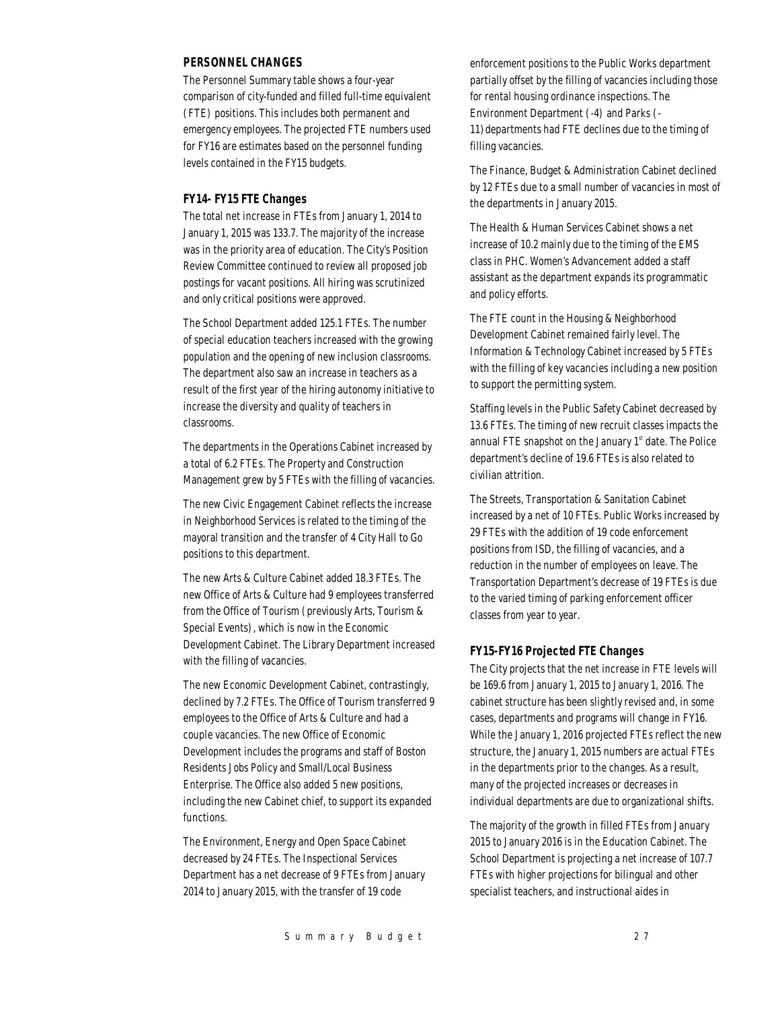# *PERSONNEL CHANGES*

The Personnel Summary table shows a four-year comparison of city-funded and filled full-time equivalent (FTE) positions. This includes both permanent and emergency employees. The projected FTE numbers used for FY16 are estimates based on the personnel funding levels contained in the FY15 budgets.

#### *FY14- FY15 FTE Changes*

The total net increase in FTEs from January 1, 2014 to January 1, 2015 was 133.7. The majority of the increase was in the priority area of education. The City's Position Review Committee continued to review all proposed job postings for vacant positions. All hiring was scrutinized and only critical positions were approved.

The School Department added 125.1 FTEs. The number of special education teachers increased with the growing population and the opening of new inclusion classrooms. The department also saw an increase in teachers as a result of the first year of the hiring autonomy initiative to increase the diversity and quality of teachers in classrooms.

The departments in the Operations Cabinet increased by a total of 6.2 FTEs. The Property and Construction Management grew by 5 FTEs with the filling of vacancies.

The new Civic Engagement Cabinet reflects the increase in Neighborhood Services is related to the timing of the mayoral transition and the transfer of 4 City Hall to Go positions to this department.

The new Arts & Culture Cabinet added 18.3 FTEs. The new Office of Arts & Culture had 9 employees transferred from the Office of Tourism (previously Arts, Tourism & Special Events), which is now in the Economic Development Cabinet. The Library Department increased with the filling of vacancies.

The new Economic Development Cabinet, contrastingly, declined by 7.2 FTEs. The Office of Tourism transferred 9 employees to the Office of Arts & Culture and had a couple vacancies. The new Office of Economic Development includes the programs and staff of Boston Residents Jobs Policy and Small/Local Business Enterprise. The Office also added 5 new positions, including the new Cabinet chief, to support its expanded functions.

The Environment, Energy and Open Space Cabinet decreased by 24 FTEs. The Inspectional Services Department has a net decrease of 9 FTEs from January 2014 to January 2015, with the transfer of 19 code

enforcement positions to the Public Works department partially offset by the filling of vacancies including those for rental housing ordinance inspections. The Environment Department (-4) and Parks (- 11)departments had FTE declines due to the timing of filling vacancies.

The Finance, Budget & Administration Cabinet declined by 12 FTEs due to a small number of vacancies in most of the departments in January 2015.

The Health & Human Services Cabinet shows a net increase of 10.2 mainly due to the timing of the EMS class in PHC. Women's Advancement added a staff assistant as the department expands its programmatic and policy efforts.

The FTE count in the Housing & Neighborhood Development Cabinet remained fairly level. The Information & Technology Cabinet increased by 5 FTEs with the filling of key vacancies including a new position to support the permitting system.

Staffing levels in the Public Safety Cabinet decreased by 13.6 FTEs. The timing of new recruit classes impacts the annual FTE snapshot on the January  $1<sup>st</sup>$  date. The Police department's decline of 19.6 FTEs is also related to civilian attrition.

The Streets, Transportation & Sanitation Cabinet increased by a net of 10 FTEs. Public Works increased by 29 FTEs with the addition of 19 code enforcement positions from ISD, the filling of vacancies, and a reduction in the number of employees on leave. The Transportation Department's decrease of 19 FTEs is due to the varied timing of parking enforcement officer classes from year to year.

#### *FY15-FY16 Projected FTE Changes*

The City projects that the net increase in FTE levels will be 169.6 from January 1, 2015 to January 1, 2016. The cabinet structure has been slightly revised and, in some cases, departments and programs will change in FY16. While the January 1, 2016 projected FTEs reflect the new structure, the January 1, 2015 numbers are actual FTEs in the departments prior to the changes. As a result, many of the projected increases or decreases in individual departments are due to organizational shifts.

The majority of the growth in filled FTEs from January 2015 to January 2016 is in the Education Cabinet. The School Department is projecting a net increase of 107.7 FTEs with higher projections for bilingual and other specialist teachers, and instructional aides in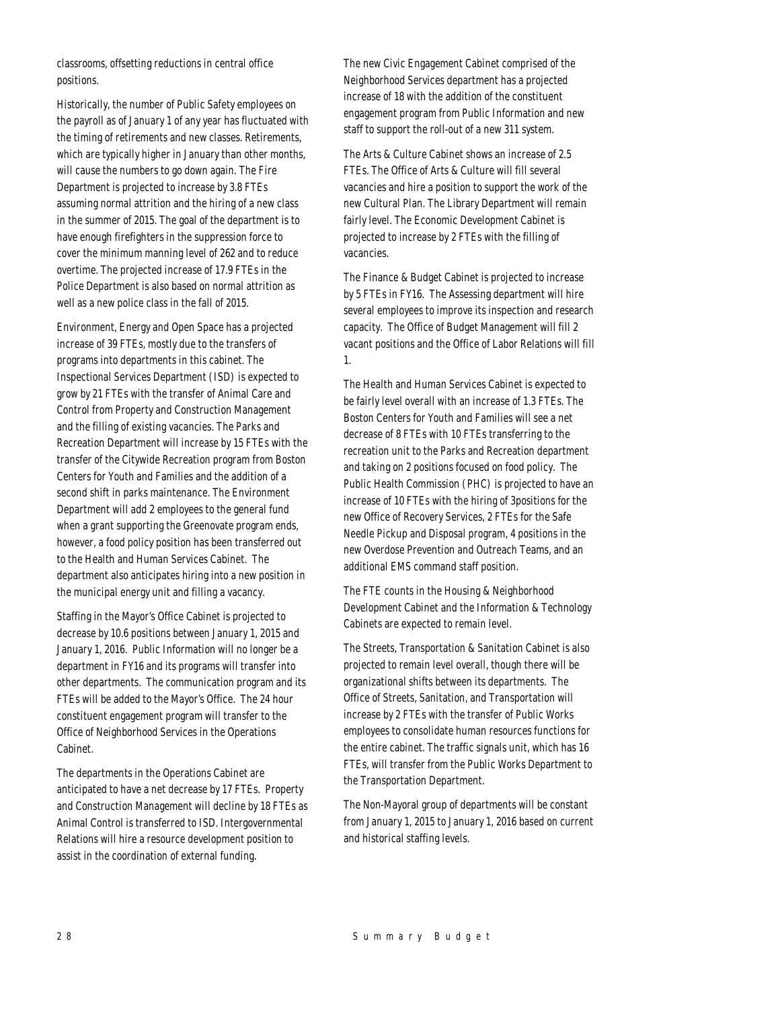classrooms, offsetting reductions in central office positions.

Historically, the number of Public Safety employees on the payroll as of January 1 of any year has fluctuated with the timing of retirements and new classes. Retirements, which are typically higher in January than other months, will cause the numbers to go down again. The Fire Department is projected to increase by 3.8 FTEs assuming normal attrition and the hiring of a new class in the summer of 2015. The goal of the department is to have enough firefighters in the suppression force to cover the minimum manning level of 262 and to reduce overtime. The projected increase of 17.9 FTEs in the Police Department is also based on normal attrition as well as a new police class in the fall of 2015.

Environment, Energy and Open Space has a projected increase of 39 FTEs, mostly due to the transfers of programs into departments in this cabinet. The Inspectional Services Department (ISD) is expected to grow by 21 FTEs with the transfer of Animal Care and Control from Property and Construction Management and the filling of existing vacancies. The Parks and Recreation Department will increase by 15 FTEs with the transfer of the Citywide Recreation program from Boston Centers for Youth and Families and the addition of a second shift in parks maintenance. The Environment Department will add 2 employees to the general fund when a grant supporting the Greenovate program ends, however, a food policy position has been transferred out to the Health and Human Services Cabinet. The department also anticipates hiring into a new position in the municipal energy unit and filling a vacancy.

Staffing in the Mayor's Office Cabinet is projected to decrease by 10.6 positions between January 1, 2015 and January 1, 2016. Public Information will no longer be a department in FY16 and its programs will transfer into other departments. The communication program and its FTEs will be added to the Mayor's Office. The 24 hour constituent engagement program will transfer to the Office of Neighborhood Services in the Operations Cabinet.

The departments in the Operations Cabinet are anticipated to have a net decrease by 17 FTEs. Property and Construction Management will decline by 18 FTEs as Animal Control is transferred to ISD. Intergovernmental Relations will hire a resource development position to assist in the coordination of external funding.

The new Civic Engagement Cabinet comprised of the Neighborhood Services department has a projected increase of 18 with the addition of the constituent engagement program from Public Information and new staff to support the roll-out of a new 311 system.

The Arts & Culture Cabinet shows an increase of 2.5 FTEs. The Office of Arts & Culture will fill several vacancies and hire a position to support the work of the new Cultural Plan. The Library Department will remain fairly level. The Economic Development Cabinet is projected to increase by 2 FTEs with the filling of vacancies.

The Finance & Budget Cabinet is projected to increase by 5 FTEs in FY16. The Assessing department will hire several employees to improve its inspection and research capacity. The Office of Budget Management will fill 2 vacant positions and the Office of Labor Relations will fill 1.

The Health and Human Services Cabinet is expected to be fairly level overall with an increase of 1.3 FTEs. The Boston Centers for Youth and Families will see a net decrease of 8 FTEs with 10 FTEs transferring to the recreation unit to the Parks and Recreation department and taking on 2 positions focused on food policy. The Public Health Commission (PHC) is projected to have an increase of 10 FTEs with the hiring of 3positions for the new Office of Recovery Services, 2 FTEs for the Safe Needle Pickup and Disposal program, 4 positions in the new Overdose Prevention and Outreach Teams, and an additional EMS command staff position.

The FTE counts in the Housing & Neighborhood Development Cabinet and the Information & Technology Cabinets are expected to remain level.

The Streets, Transportation & Sanitation Cabinet is also projected to remain level overall, though there will be organizational shifts between its departments. The Office of Streets, Sanitation, and Transportation will increase by 2 FTEs with the transfer of Public Works employees to consolidate human resources functions for the entire cabinet. The traffic signals unit, which has 16 FTEs, will transfer from the Public Works Department to the Transportation Department.

The Non-Mayoral group of departments will be constant from January 1, 2015 to January 1, 2016 based on current and historical staffing levels.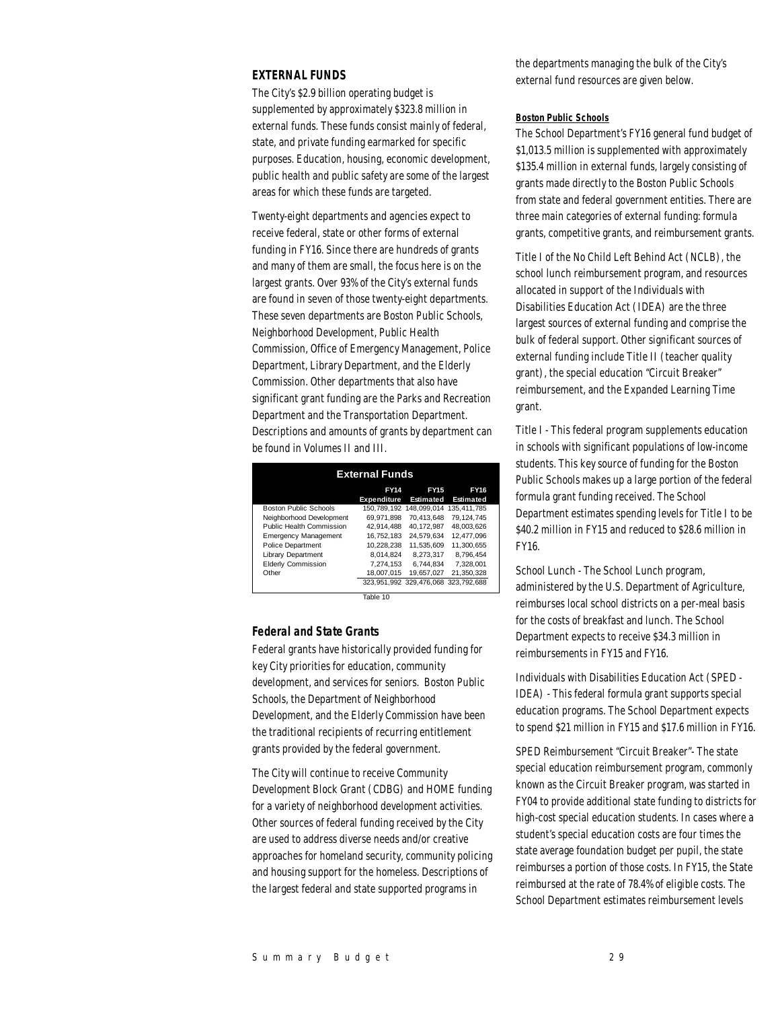#### *EXTERNAL FUNDS*

The City's \$2.9 billion operating budget is supplemented by approximately \$323.8 million in external funds. These funds consist mainly of federal, state, and private funding earmarked for specific purposes. Education, housing, economic development, public health and public safety are some of the largest areas for which these funds are targeted.

Twenty-eight departments and agencies expect to receive federal, state or other forms of external funding in FY16. Since there are hundreds of grants and many of them are small, the focus here is on the largest grants. Over 93% of the City's external funds are found in seven of those twenty-eight departments. These seven departments are Boston Public Schools, Neighborhood Development, Public Health Commission, Office of Emergency Management, Police Department, Library Department, and the Elderly Commission. Other departments that also have significant grant funding are the Parks and Recreation Department and the Transportation Department. Descriptions and amounts of grants by department can be found in Volumes II and III.

| <b>External Funds</b>        |                                   |                                     |                                 |  |  |  |  |
|------------------------------|-----------------------------------|-------------------------------------|---------------------------------|--|--|--|--|
|                              | <b>FY14</b><br><b>Expenditure</b> | <b>FY15</b><br><b>Estimated</b>     | <b>FY16</b><br><b>Estimated</b> |  |  |  |  |
| <b>Boston Public Schools</b> |                                   | 150.789.192 148.099.014             | 135.411.785                     |  |  |  |  |
| Neighborhood Development     | 69.971.898                        | 70.413.648                          | 79.124.745                      |  |  |  |  |
| Public Health Commission     | 42.914.488                        | 40.172.987                          | 48.003.626                      |  |  |  |  |
| <b>Emergency Management</b>  | 16.752.183                        | 24.579.634                          | 12.477.096                      |  |  |  |  |
| Police Department            | 10.228.238                        | 11.535.609                          | 11.300.655                      |  |  |  |  |
| <b>Library Department</b>    | 8.014.824                         | 8.273.317                           | 8.796.454                       |  |  |  |  |
| <b>Elderly Commission</b>    | 7.274.153                         | 6.744.834                           | 7.328.001                       |  |  |  |  |
| Other                        | 18.007.015                        | 19.657.027                          | 21.350.328                      |  |  |  |  |
|                              |                                   | 323.951.992 329.476.068 323.792.688 |                                 |  |  |  |  |
|                              |                                   |                                     |                                 |  |  |  |  |

Table 10

#### *Federal and State Grants*

Federal grants have historically provided funding for key City priorities for education, community development, and services for seniors. Boston Public Schools, the Department of Neighborhood Development, and the Elderly Commission have been the traditional recipients of recurring entitlement grants provided by the federal government.

The City will continue to receive Community Development Block Grant (CDBG) and HOME funding for a variety of neighborhood development activities. Other sources of federal funding received by the City are used to address diverse needs and/or creative approaches for homeland security, community policing and housing support for the homeless. Descriptions of the largest federal and state supported programs in

the departments managing the bulk of the City's external fund resources are given below.

#### *Boston Public Schools*

The School Department's FY16 general fund budget of \$1,013.5 million is supplemented with approximately \$135.4 million in external funds, largely consisting of grants made directly to the Boston Public Schools from state and federal government entities. There are three main categories of external funding: formula grants, competitive grants, and reimbursement grants.

Title I of the No Child Left Behind Act (NCLB), the school lunch reimbursement program, and resources allocated in support of the Individuals with Disabilities Education Act (IDEA) are the three largest sources of external funding and comprise the bulk of federal support. Other significant sources of external funding include Title II (teacher quality grant), the special education "Circuit Breaker" reimbursement, and the Expanded Learning Time grant.

Title I - This federal program supplements education in schools with significant populations of low-income students. This key source of funding for the Boston Public Schools makes up a large portion of the federal formula grant funding received. The School Department estimates spending levels for Title I to be \$40.2 million in FY15 and reduced to \$28.6 million in FY16.

School Lunch - The School Lunch program, administered by the U.S. Department of Agriculture, reimburses local school districts on a per-meal basis for the costs of breakfast and lunch. The School Department expects to receive \$34.3 million in reimbursements in FY15 and FY16.

Individuals with Disabilities Education Act (SPED - IDEA) - This federal formula grant supports special education programs. The School Department expects to spend \$21 million in FY15 and \$17.6 million in FY16.

SPED Reimbursement "Circuit Breaker"- The state special education reimbursement program, commonly known as the Circuit Breaker program, was started in FY04 to provide additional state funding to districts for high-cost special education students. In cases where a student's special education costs are four times the state average foundation budget per pupil, the state reimburses a portion of those costs. In FY15, the State reimbursed at the rate of 78.4% of eligible costs. The School Department estimates reimbursement levels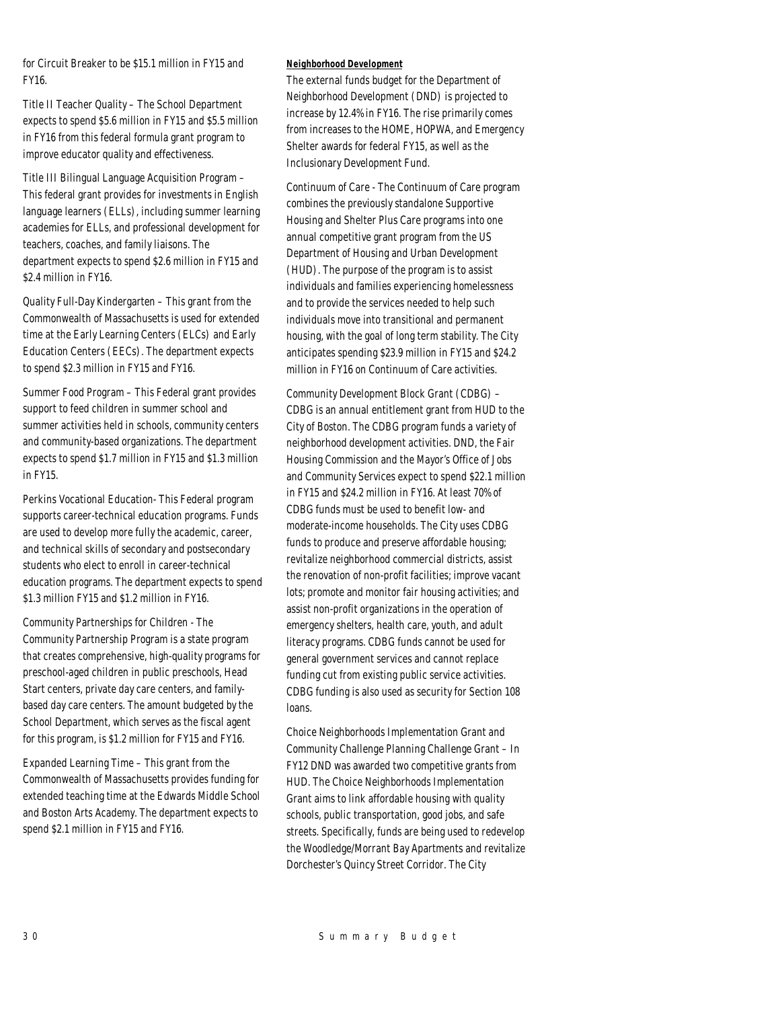for Circuit Breaker to be \$15.1 million in FY15 and FY16.

Title II Teacher Quality – The School Department expects to spend \$5.6 million in FY15 and \$5.5 million in FY16 from this federal formula grant program to improve educator quality and effectiveness.

Title III Bilingual Language Acquisition Program – This federal grant provides for investments in English language learners (ELLs), including summer learning academies for ELLs, and professional development for teachers, coaches, and family liaisons. The department expects to spend \$2.6 million in FY15 and \$2.4 million in FY16.

Quality Full-Day Kindergarten – This grant from the Commonwealth of Massachusetts is used for extended time at the Early Learning Centers (ELCs) and Early Education Centers (EECs). The department expects to spend \$2.3 million in FY15 and FY16.

Summer Food Program – This Federal grant provides support to feed children in summer school and summer activities held in schools, community centers and community-based organizations. The department expects to spend \$1.7 million in FY15 and \$1.3 million in FY15.

Perkins Vocational Education- This Federal program supports career-technical education programs. Funds are used to develop more fully the academic, career, and technical skills of secondary and postsecondary students who elect to enroll in career-technical education programs. The department expects to spend \$1.3 million FY15 and \$1.2 million in FY16.

Community Partnerships for Children - The Community Partnership Program is a state program that creates comprehensive, high-quality programs for preschool-aged children in public preschools, Head Start centers, private day care centers, and familybased day care centers. The amount budgeted by the School Department, which serves as the fiscal agent for this program, is \$1.2 million for FY15 and FY16.

Expanded Learning Time – This grant from the Commonwealth of Massachusetts provides funding for extended teaching time at the Edwards Middle School and Boston Arts Academy. The department expects to spend \$2.1 million in FY15 and FY16.

#### *Neighborhood Development*

The external funds budget for the Department of Neighborhood Development (DND) is projected to increase by 12.4% in FY16. The rise primarily comes from increases to the HOME, HOPWA, and Emergency Shelter awards for federal FY15, as well as the Inclusionary Development Fund.

Continuum of Care - The Continuum of Care program combines the previously standalone Supportive Housing and Shelter Plus Care programs into one annual competitive grant program from the US Department of Housing and Urban Development (HUD). The purpose of the program is to assist individuals and families experiencing homelessness and to provide the services needed to help such individuals move into transitional and permanent housing, with the goal of long term stability. The City anticipates spending \$23.9 million in FY15 and \$24.2 million in FY16 on Continuum of Care activities.

Community Development Block Grant (CDBG) – CDBG is an annual entitlement grant from HUD to the City of Boston. The CDBG program funds a variety of neighborhood development activities. DND, the Fair Housing Commission and the Mayor's Office of Jobs and Community Services expect to spend \$22.1 million in FY15 and \$24.2 million in FY16. At least 70% of CDBG funds must be used to benefit low- and moderate-income households. The City uses CDBG funds to produce and preserve affordable housing; revitalize neighborhood commercial districts, assist the renovation of non-profit facilities; improve vacant lots; promote and monitor fair housing activities; and assist non-profit organizations in the operation of emergency shelters, health care, youth, and adult literacy programs. CDBG funds cannot be used for general government services and cannot replace funding cut from existing public service activities. CDBG funding is also used as security for Section 108 loans.

Choice Neighborhoods Implementation Grant and Community Challenge Planning Challenge Grant – In FY12 DND was awarded two competitive grants from HUD. The Choice Neighborhoods Implementation Grant aims to link affordable housing with quality schools, public transportation, good jobs, and safe streets. Specifically, funds are being used to redevelop the Woodledge/Morrant Bay Apartments and revitalize Dorchester's Quincy Street Corridor. The City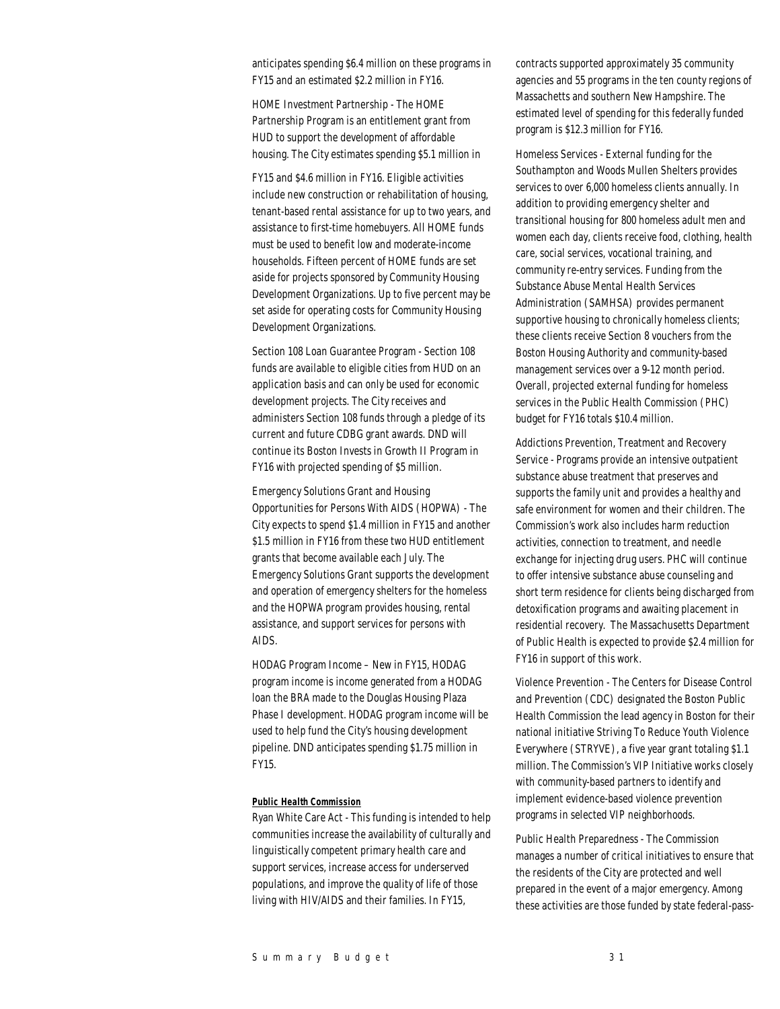anticipates spending \$6.4 million on these programs in FY15 and an estimated \$2.2 million in FY16.

HOME Investment Partnership - The HOME Partnership Program is an entitlement grant from HUD to support the development of affordable housing. The City estimates spending \$5.1 million in

FY15 and \$4.6 million in FY16. Eligible activities include new construction or rehabilitation of housing, tenant-based rental assistance for up to two years, and assistance to first-time homebuyers. All HOME funds must be used to benefit low and moderate-income households. Fifteen percent of HOME funds are set aside for projects sponsored by Community Housing Development Organizations. Up to five percent may be set aside for operating costs for Community Housing Development Organizations.

Section 108 Loan Guarantee Program - Section 108 funds are available to eligible cities from HUD on an application basis and can only be used for economic development projects. The City receives and administers Section 108 funds through a pledge of its current and future CDBG grant awards. DND will continue its Boston Invests in Growth II Program in FY16 with projected spending of \$5 million.

Emergency Solutions Grant and Housing Opportunities for Persons With AIDS (HOPWA) - The City expects to spend \$1.4 million in FY15 and another \$1.5 million in FY16 from these two HUD entitlement grants that become available each July. The Emergency Solutions Grant supports the development and operation of emergency shelters for the homeless and the HOPWA program provides housing, rental assistance, and support services for persons with AIDS.

HODAG Program Income – New in FY15, HODAG program income is income generated from a HODAG loan the BRA made to the Douglas Housing Plaza Phase I development. HODAG program income will be used to help fund the City's housing development pipeline. DND anticipates spending \$1.75 million in FY15.

#### *Public Health Commission*

Ryan White Care Act - This funding is intended to help communities increase the availability of culturally and linguistically competent primary health care and support services, increase access for underserved populations, and improve the quality of life of those living with HIV/AIDS and their families. In FY15,

contracts supported approximately 35 community agencies and 55 programs in the ten county regions of Massachetts and southern New Hampshire. The estimated level of spending for this federally funded program is \$12.3 million for FY16.

Homeless Services - External funding for the Southampton and Woods Mullen Shelters provides services to over 6,000 homeless clients annually. In addition to providing emergency shelter and transitional housing for 800 homeless adult men and women each day, clients receive food, clothing, health care, social services, vocational training, and community re-entry services. Funding from the Substance Abuse Mental Health Services Administration (SAMHSA) provides permanent supportive housing to chronically homeless clients; these clients receive Section 8 vouchers from the Boston Housing Authority and community-based management services over a 9-12 month period. Overall, projected external funding for homeless services in the Public Health Commission (PHC) budget for FY16 totals \$10.4 million.

Addictions Prevention, Treatment and Recovery Service - Programs provide an intensive outpatient substance abuse treatment that preserves and supports the family unit and provides a healthy and safe environment for women and their children. The Commission's work also includes harm reduction activities, connection to treatment, and needle exchange for injecting drug users. PHC will continue to offer intensive substance abuse counseling and short term residence for clients being discharged from detoxification programs and awaiting placement in residential recovery. The Massachusetts Department of Public Health is expected to provide \$2.4 million for FY16 in support of this work.

Violence Prevention - The Centers for Disease Control and Prevention (CDC) designated the Boston Public Health Commission the lead agency in Boston for their national initiative Striving To Reduce Youth Violence Everywhere (STRYVE), a five year grant totaling \$1.1 million. The Commission's VIP Initiative works closely with community-based partners to identify and implement evidence-based violence prevention programs in selected VIP neighborhoods.

Public Health Preparedness - The Commission manages a number of critical initiatives to ensure that the residents of the City are protected and well prepared in the event of a major emergency. Among these activities are those funded by state federal-pass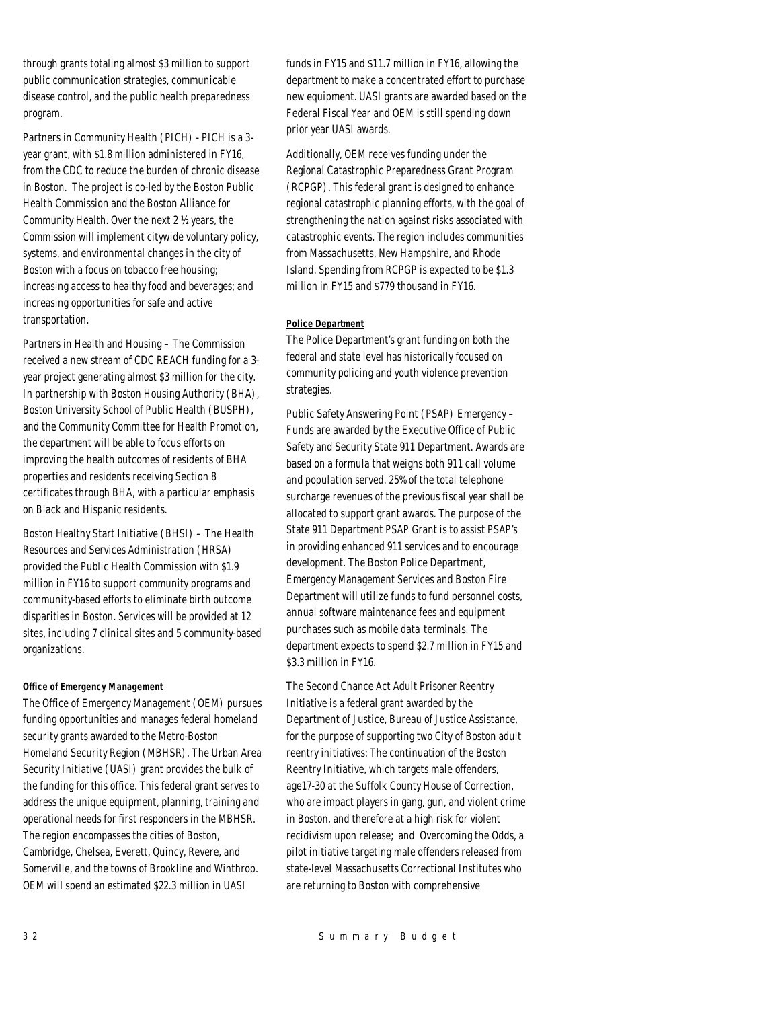through grants totaling almost \$3 million to support public communication strategies, communicable disease control, and the public health preparedness program.

Partners in Community Health (PICH) - PICH is a 3 year grant, with \$1.8 million administered in FY16, from the CDC to reduce the burden of chronic disease in Boston. The project is co-led by the Boston Public Health Commission and the Boston Alliance for Community Health. Over the next 2 ½ years, the Commission will implement citywide voluntary policy, systems, and environmental changes in the city of Boston with a focus on tobacco free housing; increasing access to healthy food and beverages; and increasing opportunities for safe and active transportation.

Partners in Health and Housing – The Commission received a new stream of CDC REACH funding for a 3 year project generating almost \$3 million for the city. In partnership with Boston Housing Authority (BHA), Boston University School of Public Health (BUSPH), and the Community Committee for Health Promotion, the department will be able to focus efforts on improving the health outcomes of residents of BHA properties and residents receiving Section 8 certificates through BHA, with a particular emphasis on Black and Hispanic residents.

Boston Healthy Start Initiative (BHSI) – The Health Resources and Services Administration (HRSA) provided the Public Health Commission with \$1.9 million in FY16 to support community programs and community-based efforts to eliminate birth outcome disparities in Boston. Services will be provided at 12 sites, including 7 clinical sites and 5 community-based organizations.

#### *Office of Emergency Management*

The Office of Emergency Management (OEM) pursues funding opportunities and manages federal homeland security grants awarded to the Metro-Boston Homeland Security Region (MBHSR). The Urban Area Security Initiative (UASI) grant provides the bulk of the funding for this office. This federal grant serves to address the unique equipment, planning, training and operational needs for first responders in the MBHSR. The region encompasses the cities of Boston, Cambridge, Chelsea, Everett, Quincy, Revere, and Somerville, and the towns of Brookline and Winthrop. OEM will spend an estimated \$22.3 million in UASI

funds in FY15 and \$11.7 million in FY16, allowing the department to make a concentrated effort to purchase new equipment. UASI grants are awarded based on the Federal Fiscal Year and OEM is still spending down prior year UASI awards.

Additionally, OEM receives funding under the Regional Catastrophic Preparedness Grant Program (RCPGP). This federal grant is designed to enhance regional catastrophic planning efforts, with the goal of strengthening the nation against risks associated with catastrophic events. The region includes communities from Massachusetts, New Hampshire, and Rhode Island. Spending from RCPGP is expected to be \$1.3 million in FY15 and \$779 thousand in FY16.

#### *Police Department*

The Police Department's grant funding on both the federal and state level has historically focused on community policing and youth violence prevention strategies.

Public Safety Answering Point (PSAP) Emergency – Funds are awarded by the Executive Office of Public Safety and Security State 911 Department. Awards are based on a formula that weighs both 911 call volume and population served. 25% of the total telephone surcharge revenues of the previous fiscal year shall be allocated to support grant awards. The purpose of the State 911 Department PSAP Grant is to assist PSAP's in providing enhanced 911 services and to encourage development. The Boston Police Department, Emergency Management Services and Boston Fire Department will utilize funds to fund personnel costs, annual software maintenance fees and equipment purchases such as mobile data terminals. The department expects to spend \$2.7 million in FY15 and \$3.3 million in FY16.

The Second Chance Act Adult Prisoner Reentry Initiative is a federal grant awarded by the Department of Justice, Bureau of Justice Assistance, for the purpose of supporting two City of Boston adult reentry initiatives: The continuation of the Boston Reentry Initiative, which targets male offenders, age17-30 at the Suffolk County House of Correction, who are impact players in gang, gun, and violent crime in Boston, and therefore at a high risk for violent recidivism upon release; and Overcoming the Odds, a pilot initiative targeting male offenders released from state-level Massachusetts Correctional Institutes who are returning to Boston with comprehensive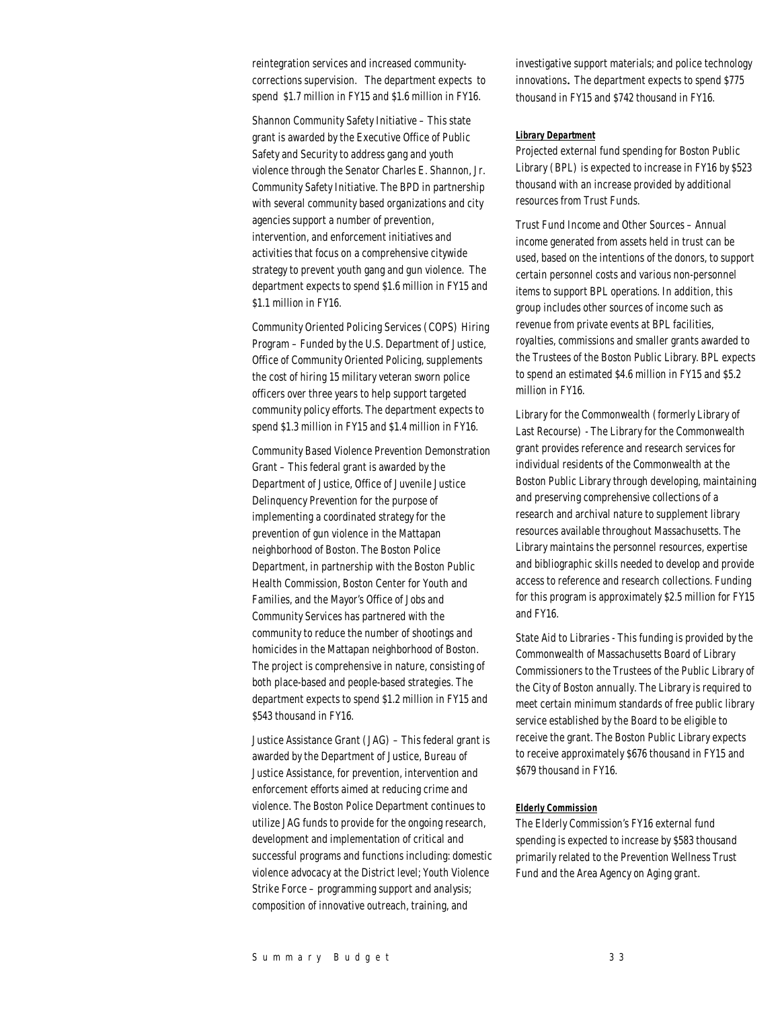reintegration services and increased communitycorrections supervision. The department expects to spend \$1.7 million in FY15 and \$1.6 million in FY16.

Shannon Community Safety Initiative – This state grant is awarded by the Executive Office of Public Safety and Security to address gang and youth violence through the Senator Charles E. Shannon, Jr. Community Safety Initiative. The BPD in partnership with several community based organizations and city agencies support a number of prevention, intervention, and enforcement initiatives and activities that focus on a comprehensive citywide strategy to prevent youth gang and gun violence. The department expects to spend \$1.6 million in FY15 and \$1.1 million in FY16.

Community Oriented Policing Services (COPS) Hiring Program – Funded by the U.S. Department of Justice, Office of Community Oriented Policing, supplements the cost of hiring 15 military veteran sworn police officers over three years to help support targeted community policy efforts. The department expects to spend \$1.3 million in FY15 and \$1.4 million in FY16.

Community Based Violence Prevention Demonstration Grant – This federal grant is awarded by the Department of Justice, Office of Juvenile Justice Delinquency Prevention for the purpose of implementing a coordinated strategy for the prevention of gun violence in the Mattapan neighborhood of Boston. The Boston Police Department, in partnership with the Boston Public Health Commission, Boston Center for Youth and Families, and the Mayor's Office of Jobs and Community Services has partnered with the community to reduce the number of shootings and homicides in the Mattapan neighborhood of Boston. The project is comprehensive in nature, consisting of both place-based and people-based strategies. The department expects to spend \$1.2 million in FY15 and \$543 thousand in FY16.

Justice Assistance Grant (JAG) – This federal grant is awarded by the Department of Justice, Bureau of Justice Assistance, for prevention, intervention and enforcement efforts aimed at reducing crime and violence. The Boston Police Department continues to utilize JAG funds to provide for the ongoing research, development and implementation of critical and successful programs and functions including: domestic violence advocacy at the District level; Youth Violence Strike Force – programming support and analysis; composition of innovative outreach, training, and

investigative support materials; and police technology innovations. The department expects to spend \$775 thousand in FY15 and \$742 thousand in FY16.

#### *Library Department*

Projected external fund spending for Boston Public Library (BPL) is expected to increase in FY16 by \$523 thousand with an increase provided by additional resources from Trust Funds.

Trust Fund Income and Other Sources – Annual income generated from assets held in trust can be used, based on the intentions of the donors, to support certain personnel costs and various non-personnel items to support BPL operations. In addition, this group includes other sources of income such as revenue from private events at BPL facilities, royalties, commissions and smaller grants awarded to the Trustees of the Boston Public Library. BPL expects to spend an estimated \$4.6 million in FY15 and \$5.2 million in FY16.

Library for the Commonwealth (formerly Library of Last Recourse) - The Library for the Commonwealth grant provides reference and research services for individual residents of the Commonwealth at the Boston Public Library through developing, maintaining and preserving comprehensive collections of a research and archival nature to supplement library resources available throughout Massachusetts. The Library maintains the personnel resources, expertise and bibliographic skills needed to develop and provide access to reference and research collections. Funding for this program is approximately \$2.5 million for FY15 and FY16.

State Aid to Libraries - This funding is provided by the Commonwealth of Massachusetts Board of Library Commissioners to the Trustees of the Public Library of the City of Boston annually. The Library is required to meet certain minimum standards of free public library service established by the Board to be eligible to receive the grant. The Boston Public Library expects to receive approximately \$676 thousand in FY15 and \$679 thousand in FY16.

#### *Elderly Commission*

The Elderly Commission's FY16 external fund spending is expected to increase by \$583 thousand primarily related to the Prevention Wellness Trust Fund and the Area Agency on Aging grant.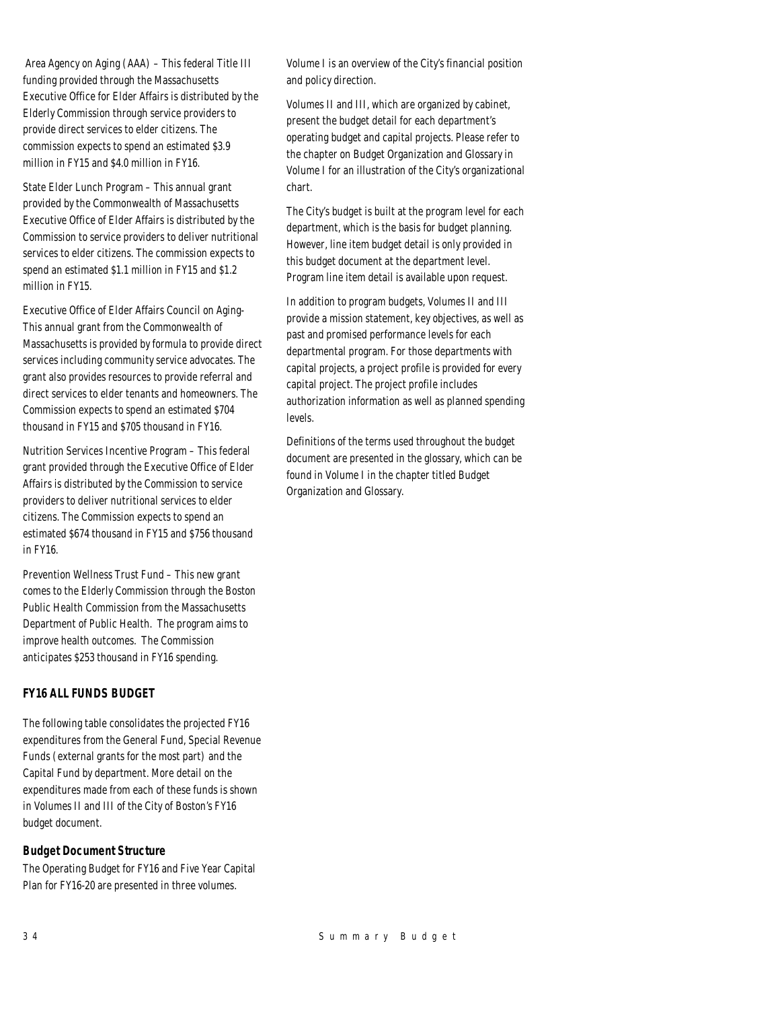Area Agency on Aging (AAA) – This federal Title III funding provided through the Massachusetts Executive Office for Elder Affairs is distributed by the Elderly Commission through service providers to provide direct services to elder citizens. The commission expects to spend an estimated \$3.9 million in FY15 and \$4.0 million in FY16.

State Elder Lunch Program – This annual grant provided by the Commonwealth of Massachusetts Executive Office of Elder Affairs is distributed by the Commission to service providers to deliver nutritional services to elder citizens. The commission expects to spend an estimated \$1.1 million in FY15 and \$1.2 million in FY15.

Executive Office of Elder Affairs Council on Aging-This annual grant from the Commonwealth of Massachusetts is provided by formula to provide direct services including community service advocates. The grant also provides resources to provide referral and direct services to elder tenants and homeowners. The Commission expects to spend an estimated \$704 thousand in FY15 and \$705 thousand in FY16.

Nutrition Services Incentive Program – This federal grant provided through the Executive Office of Elder Affairs is distributed by the Commission to service providers to deliver nutritional services to elder citizens. The Commission expects to spend an estimated \$674 thousand in FY15 and \$756 thousand in FY16.

Prevention Wellness Trust Fund – This new grant comes to the Elderly Commission through the Boston Public Health Commission from the Massachusetts Department of Public Health. The program aims to improve health outcomes. The Commission anticipates \$253 thousand in FY16 spending.

# *FY16 ALL FUNDS BUDGET*

The following table consolidates the projected FY16 expenditures from the General Fund, Special Revenue Funds (external grants for the most part) and the Capital Fund by department. More detail on the expenditures made from each of these funds is shown in Volumes II and III of the City of Boston's FY16 budget document.

# *Budget Document Structure*

The Operating Budget for FY16 and Five Year Capital Plan for FY16-20 are presented in three volumes.

Volume I is an overview of the City's financial position and policy direction.

Volumes II and III, which are organized by cabinet, present the budget detail for each department's operating budget and capital projects. Please refer to the chapter on Budget Organization and Glossary in Volume I for an illustration of the City's organizational chart.

The City's budget is built at the program level for each department, which is the basis for budget planning. However, line item budget detail is only provided in this budget document at the department level. Program line item detail is available upon request.

In addition to program budgets, Volumes II and III provide a mission statement, key objectives, as well as past and promised performance levels for each departmental program. For those departments with capital projects, a project profile is provided for every capital project. The project profile includes authorization information as well as planned spending levels.

Definitions of the terms used throughout the budget document are presented in the glossary, which can be found in Volume I in the chapter titled Budget Organization and Glossary.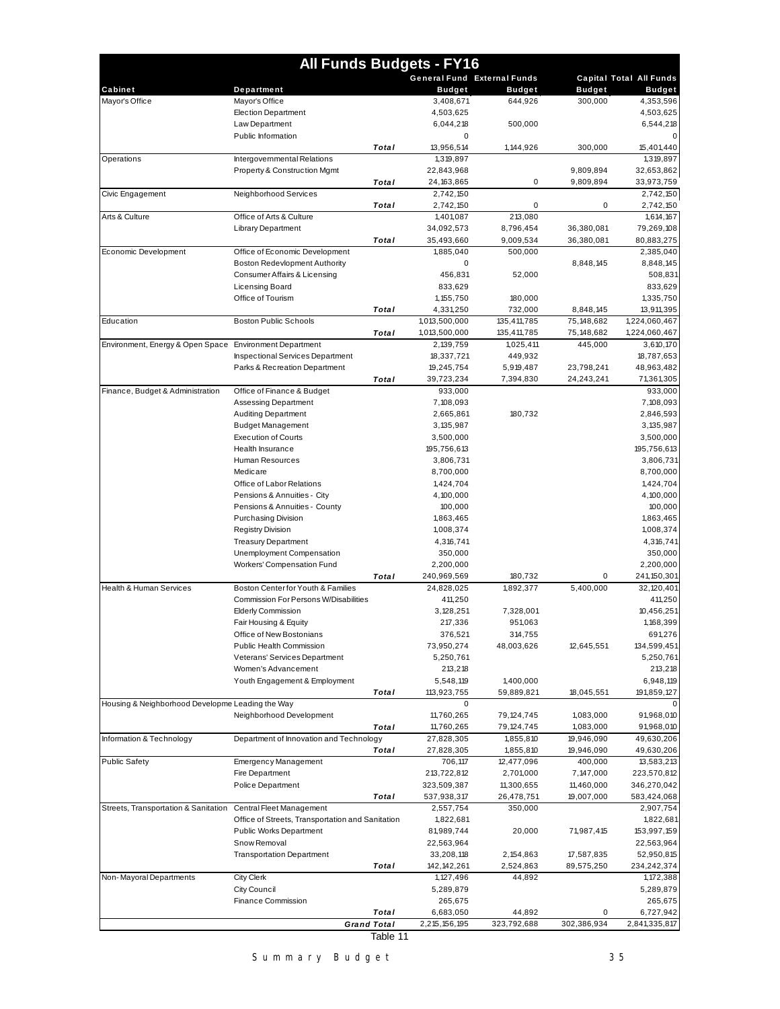|                                                         | <b>All Funds Budgets - FY16</b>                                                    |                    |                             |                         |               |                                |
|---------------------------------------------------------|------------------------------------------------------------------------------------|--------------------|-----------------------------|-------------------------|---------------|--------------------------------|
|                                                         |                                                                                    |                    | General Fund External Funds |                         |               | <b>Capital Total All Funds</b> |
| Cabinet                                                 | Department                                                                         |                    | <b>Budget</b>               | <b>Budget</b>           | <b>Budget</b> | <b>Budget</b>                  |
| Mayor's Office                                          | Mayor's Office                                                                     |                    | 3,408,671                   | 644,926                 | 300,000       | 4,353,596                      |
|                                                         | <b>Election Department</b><br>Law Department                                       |                    | 4,503,625<br>6,044,218      | 500,000                 |               | 4,503,625<br>6,544,218         |
|                                                         | <b>Public Information</b>                                                          |                    | 0                           |                         |               | $\Omega$                       |
|                                                         |                                                                                    | Total              | 13,956,514                  | 1,144,926               | 300,000       | 15,401,440                     |
| Operations                                              | Intergovernmental Relations                                                        |                    | 1,319,897                   |                         |               | 1,319,897                      |
|                                                         | <b>Property &amp; Construction Mgmt</b>                                            |                    | 22,843,968                  |                         | 9,809,894     | 32,653,862                     |
|                                                         |                                                                                    | Total              | 24, 163, 865                | 0                       | 9,809,894     | 33,973,759                     |
| Civic Engagement                                        | Neighborhood Services                                                              |                    | 2,742,150                   |                         |               | 2,742,150                      |
|                                                         |                                                                                    | Total              | 2,742,150                   | 0                       | 0             | 2,742,150                      |
| Arts & Culture                                          | Office of Arts & Culture<br><b>Library Department</b>                              |                    | 1,401,087<br>34,092,573     | 213.080<br>8,796,454    | 36,380,081    | 1,614,167<br>79,269,108        |
|                                                         |                                                                                    | Total              | 35,493,660                  | 9,009,534               | 36,380,081    | 80,883,275                     |
| Economic Development                                    | Office of Economic Development                                                     |                    | 1,885,040                   | 500,000                 |               | 2,385,040                      |
|                                                         | <b>Boston Redevlopment Authority</b>                                               |                    | 0                           |                         | 8,848,145     | 8,848,145                      |
|                                                         | Consumer Affairs & Licensing                                                       |                    | 456,831                     | 52,000                  |               | 508,831                        |
|                                                         | <b>Licensing Board</b>                                                             |                    | 833,629                     |                         |               | 833,629                        |
|                                                         | Office of Tourism                                                                  |                    | 1, 155, 750                 | 180,000                 |               | 1,335,750                      |
|                                                         |                                                                                    | Total              | 4,331,250                   | 732,000                 | 8,848,145     | 13,911,395                     |
| Education                                               | <b>Boston Public Schools</b>                                                       |                    | 1,013,500,000               | 135,411,785             | 75, 148, 682  | 1,224,060,467                  |
|                                                         |                                                                                    | Total              | 1,013,500,000               | 135,411,785             | 75, 148, 682  | 1,224,060,467                  |
| Environment, Energy & Open Space Environment Department |                                                                                    |                    | 2,139,759                   | 1,025,411               | 445,000       | 3,610,170                      |
|                                                         | <b>Inspectional Services Department</b>                                            |                    | 18,337,721                  | 449,932                 |               | 18,787,653                     |
|                                                         | Parks & Recreation Department                                                      |                    | 19,245,754                  | 5,919,487               | 23,798,241    | 48,963,482                     |
| Finance, Budget & Administration                        | Office of Finance & Budget                                                         | Total              | 39,723,234<br>933,000       | 7,394,830               | 24,243,241    | 71,361,305<br>933,000          |
|                                                         | Assessing Department                                                               |                    | 7,108,093                   |                         |               | 7,108,093                      |
|                                                         | <b>Auditing Department</b>                                                         |                    | 2,665,861                   | 180,732                 |               | 2,846,593                      |
|                                                         | <b>Budget Management</b>                                                           |                    | 3,135,987                   |                         |               | 3, 135, 987                    |
|                                                         | <b>Execution of Courts</b>                                                         |                    | 3,500,000                   |                         |               | 3,500,000                      |
|                                                         | Health Insurance                                                                   |                    | 195,756,613                 |                         |               | 195,756,613                    |
|                                                         | Human Resources                                                                    |                    | 3,806,731                   |                         |               | 3,806,731                      |
|                                                         | Medicare                                                                           |                    | 8,700,000                   |                         |               | 8,700,000                      |
|                                                         | Office of Labor Relations                                                          |                    | 1,424,704                   |                         |               | 1,424,704                      |
|                                                         | Pensions & Annuities - City                                                        |                    | 4,100,000                   |                         |               | 4,100,000                      |
|                                                         | Pensions & Annuities - County                                                      |                    | 100,000                     |                         |               | 100,000                        |
|                                                         | Purchasing Division                                                                |                    | 1,863,465                   |                         |               | 1,863,465                      |
|                                                         | <b>Registry Division</b><br><b>Treasury Department</b>                             |                    | 1,008,374<br>4,316,741      |                         |               | 1,008,374<br>4,316,741         |
|                                                         | Unemployment Compensation                                                          |                    | 350,000                     |                         |               | 350,000                        |
|                                                         | Workers' Compensation Fund                                                         |                    | 2,200,000                   |                         |               | 2,200,000                      |
|                                                         |                                                                                    | Total              | 240,969,569                 | 180,732                 | 0             | 241, 150, 301                  |
| <b>Health &amp; Human Services</b>                      | Boston Center for Youth & Families                                                 |                    | 24,828,025                  | 1,892,377               | 5,400,000     | 32, 120, 401                   |
|                                                         | Commission For Persons W/Disabilities                                              |                    | 411,250                     |                         |               | 411,250                        |
|                                                         | <b>Elderly Commission</b>                                                          |                    | 3,128,251                   | 7,328,001               |               | 10,456,251                     |
|                                                         | Fair Housing & Equity                                                              |                    | 217,336                     | 951,063                 |               | 1,168,399                      |
|                                                         | Office of New Bostonians                                                           |                    | 376,521                     | 314,755                 |               | 691,276                        |
|                                                         | Public Health Commission                                                           |                    | 73,950,274                  | 48,003,626              | 12,645,551    | 134,599,451                    |
|                                                         | Veterans' Services Department                                                      |                    | 5,250,761                   |                         |               | 5,250,761                      |
|                                                         | Women's Advancement                                                                |                    | 213,218                     |                         |               | 213,218<br>6,948,119           |
|                                                         | Youth Engagement & Employment                                                      | Total              | 5,548,119<br>113,923,755    | 1,400,000<br>59,889,821 | 18,045,551    | 191,859,127                    |
| Housing & Neighborhood Developme Leading the Way        |                                                                                    |                    | 0                           |                         |               | $\mathbf 0$                    |
|                                                         | Neighborhood Development                                                           |                    | 11,760,265                  | 79, 124, 745            | 1,083,000     | 91,968,010                     |
|                                                         |                                                                                    | Total              | 11,760,265                  | 79, 124, 745            | 1,083,000     | 91,968,010                     |
| Information & Technology                                | Department of Innovation and Technology                                            |                    | 27,828,305                  | 1,855,810               | 19,946,090    | 49,630,206                     |
|                                                         |                                                                                    | Total              | 27,828,305                  | 1,855,810               | 19,946,090    | 49,630,206                     |
| <b>Public Safety</b>                                    | Emergency Management                                                               |                    | 706,117                     | 12,477,096              | 400,000       | 13,583,213                     |
|                                                         | Fire Department                                                                    |                    | 213,722,812                 | 2,701,000               | 7,147,000     | 223,570,812                    |
|                                                         | Police Department                                                                  |                    | 323,509,387                 | 11,300,655              | 11,460,000    | 346,270,042                    |
|                                                         |                                                                                    | Total              | 537,938,317                 | 26,478,751              | 19,007,000    | 583,424,068                    |
| Streets, Transportation & Sanitation                    | Central Fleet Management                                                           |                    | 2,557,754                   | 350,000                 |               | 2,907,754<br>1,822,681         |
|                                                         | Office of Streets, Transportation and Sanitation<br><b>Public Works Department</b> |                    | 1,822,681<br>81,989,744     | 20,000                  | 71,987,415    | 153,997,159                    |
|                                                         | Snow Removal                                                                       |                    | 22,563,964                  |                         |               | 22,563,964                     |
|                                                         | <b>Transportation Department</b>                                                   |                    | 33,208,118                  | 2, 154, 863             | 17,587,835    | 52,950,815                     |
|                                                         |                                                                                    | Total              | 142, 142, 261               | 2,524,863               | 89,575,250    | 234,242,374                    |
| Non-Mayoral Departments                                 | <b>City Clerk</b>                                                                  |                    | 1, 127, 496                 | 44,892                  |               | 1,172,388                      |
|                                                         | City Council                                                                       |                    | 5,289,879                   |                         |               | 5,289,879                      |
|                                                         | Finance Commission                                                                 |                    | 265,675                     |                         |               | 265,675                        |
|                                                         |                                                                                    | Total              | 6,683,050                   | 44,892                  | 0             | 6,727,942                      |
|                                                         |                                                                                    | <b>Grand Total</b> | 2,215,156,195               | 323,792,688             | 302,386,934   | 2,841,335,817                  |
|                                                         |                                                                                    | Table 11           |                             |                         |               |                                |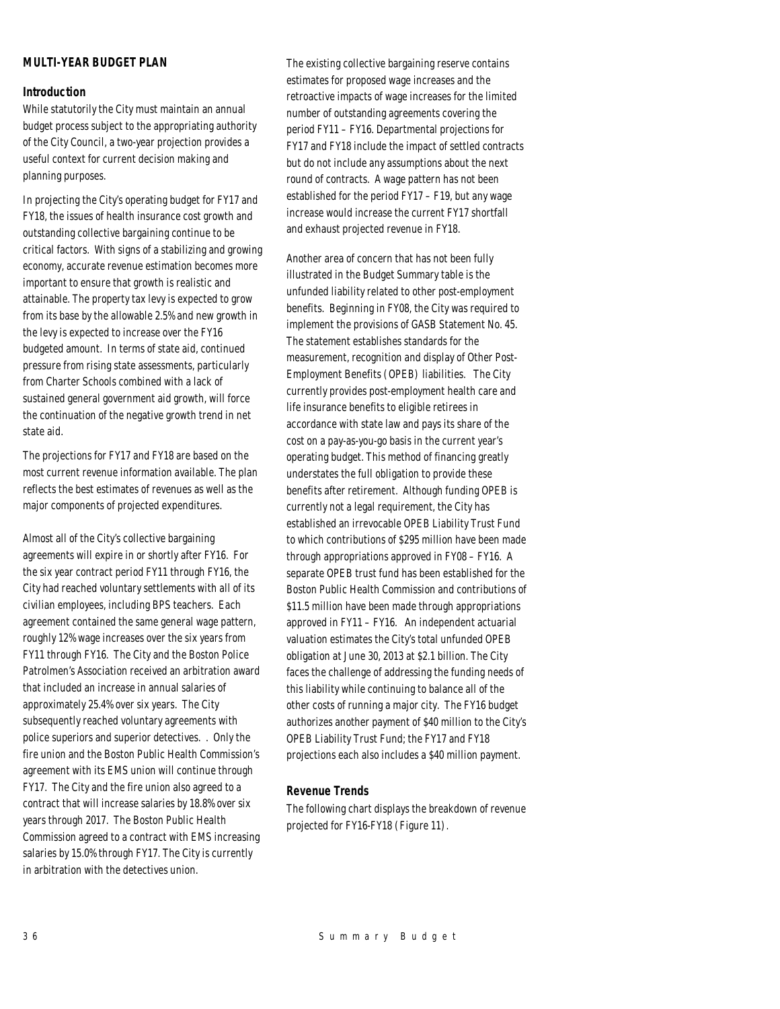# *MULTI-YEAR BUDGET PLAN*

# *Introduction*

While statutorily the City must maintain an annual budget process subject to the appropriating authority of the City Council, a two-year projection provides a useful context for current decision making and planning purposes.

In projecting the City's operating budget for FY17 and FY18, the issues of health insurance cost growth and outstanding collective bargaining continue to be critical factors. With signs of a stabilizing and growing economy, accurate revenue estimation becomes more important to ensure that growth is realistic and attainable. The property tax levy is expected to grow from its base by the allowable 2.5% and new growth in the levy is expected to increase over the FY16 budgeted amount. In terms of state aid, continued pressure from rising state assessments, particularly from Charter Schools combined with a lack of sustained general government aid growth, will force the continuation of the negative growth trend in net state aid.

The projections for FY17 and FY18 are based on the most current revenue information available. The plan reflects the best estimates of revenues as well as the major components of projected expenditures.

Almost all of the City's collective bargaining agreements will expire in or shortly after FY16. For the six year contract period FY11 through FY16, the City had reached voluntary settlements with all of its civilian employees, including BPS teachers. Each agreement contained the same general wage pattern, roughly 12% wage increases over the six years from FY11 through FY16. The City and the Boston Police Patrolmen's Association received an arbitration award that included an increase in annual salaries of approximately 25.4% over six years. The City subsequently reached voluntary agreements with police superiors and superior detectives. . Only the fire union and the Boston Public Health Commission's agreement with its EMS union will continue through FY17. The City and the fire union also agreed to a contract that will increase salaries by 18.8% over six years through 2017. The Boston Public Health Commission agreed to a contract with EMS increasing salaries by 15.0% through FY17. The City is currently in arbitration with the detectives union.

The existing collective bargaining reserve contains estimates for proposed wage increases and the retroactive impacts of wage increases for the limited number of outstanding agreements covering the period FY11 – FY16. Departmental projections for FY17 and FY18 include the impact of settled contracts but do not include any assumptions about the next round of contracts. A wage pattern has not been established for the period FY17 – F19, but any wage increase would increase the current FY17 shortfall and exhaust projected revenue in FY18.

Another area of concern that has not been fully illustrated in the Budget Summary table is the unfunded liability related to other post-employment benefits. Beginning in FY08, the City was required to implement the provisions of GASB Statement No. 45. The statement establishes standards for the measurement, recognition and display of Other Post-Employment Benefits (OPEB) liabilities. The City currently provides post-employment health care and life insurance benefits to eligible retirees in accordance with state law and pays its share of the cost on a pay-as-you-go basis in the current year's operating budget. This method of financing greatly understates the full obligation to provide these benefits after retirement. Although funding OPEB is currently not a legal requirement, the City has established an irrevocable OPEB Liability Trust Fund to which contributions of \$295 million have been made through appropriations approved in FY08 – FY16. A separate OPEB trust fund has been established for the Boston Public Health Commission and contributions of \$11.5 million have been made through appropriations approved in FY11 – FY16. An independent actuarial valuation estimates the City's total unfunded OPEB obligation at June 30, 2013 at \$2.1 billion. The City faces the challenge of addressing the funding needs of this liability while continuing to balance all of the other costs of running a major city. The FY16 budget authorizes another payment of \$40 million to the City's OPEB Liability Trust Fund; the FY17 and FY18 projections each also includes a \$40 million payment.

# *Revenue Trends*

The following chart displays the breakdown of revenue projected for FY16-FY18 (Figure 11).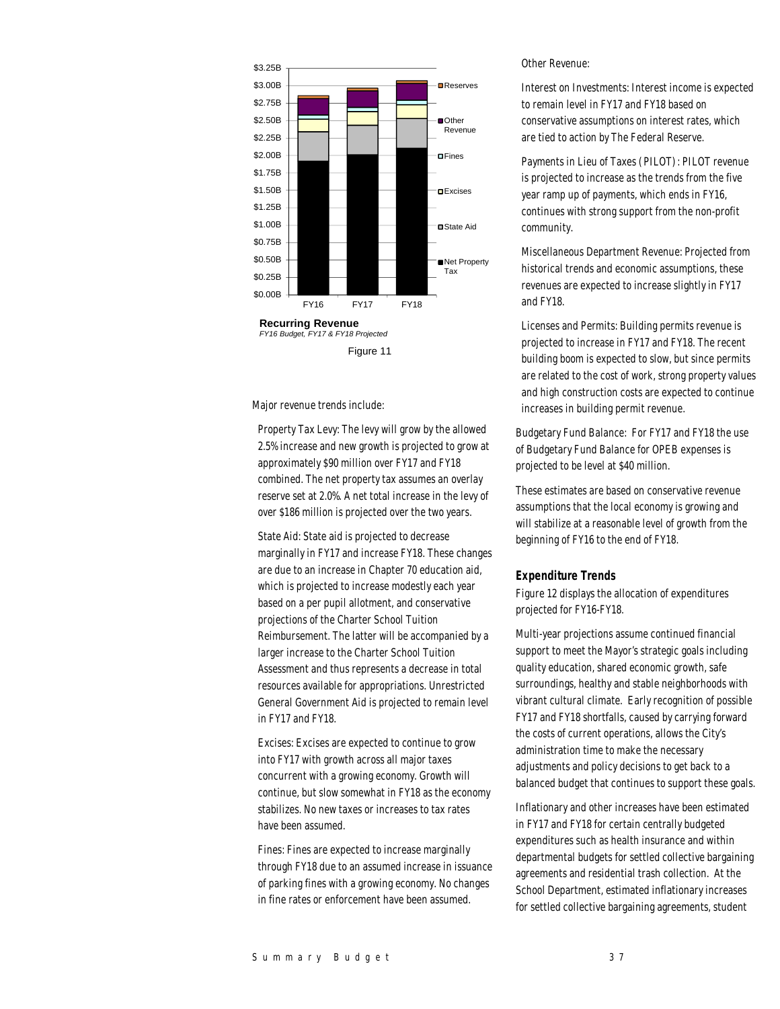

Major revenue trends include:

Property Tax Levy: The levy will grow by the allowed 2.5% increase and new growth is projected to grow at approximately \$90 million over FY17 and FY18 combined. The net property tax assumes an overlay reserve set at 2.0%. A net total increase in the levy of over \$186 million is projected over the two years.

State Aid: State aid is projected to decrease marginally in FY17 and increase FY18. These changes are due to an increase in Chapter 70 education aid, which is projected to increase modestly each year based on a per pupil allotment, and conservative projections of the Charter School Tuition Reimbursement. The latter will be accompanied by a larger increase to the Charter School Tuition Assessment and thus represents a decrease in total resources available for appropriations. Unrestricted General Government Aid is projected to remain level in FY17 and FY18.

Excises: Excises are expected to continue to grow into FY17 with growth across all major taxes concurrent with a growing economy. Growth will continue, but slow somewhat in FY18 as the economy stabilizes. No new taxes or increases to tax rates have been assumed.

Fines: Fines are expected to increase marginally through FY18 due to an assumed increase in issuance of parking fines with a growing economy. No changes in fine rates or enforcement have been assumed.

Other Revenue:

Interest on Investments: Interest income is expected to remain level in FY17 and FY18 based on conservative assumptions on interest rates, which are tied to action by The Federal Reserve.

Payments in Lieu of Taxes (PILOT): PILOT revenue is projected to increase as the trends from the five year ramp up of payments, which ends in FY16, continues with strong support from the non-profit community.

Miscellaneous Department Revenue: Projected from historical trends and economic assumptions, these revenues are expected to increase slightly in FY17 and FY18.

Licenses and Permits: Building permits revenue is projected to increase in FY17 and FY18. The recent building boom is expected to slow, but since permits are related to the cost of work, strong property values and high construction costs are expected to continue increases in building permit revenue.

Budgetary Fund Balance: For FY17 and FY18 the use of Budgetary Fund Balance for OPEB expenses is projected to be level at \$40 million.

These estimates are based on conservative revenue assumptions that the local economy is growing and will stabilize at a reasonable level of growth from the beginning of FY16 to the end of FY18.

#### *Expenditure Trends*

Figure 12 displays the allocation of expenditures projected for FY16-FY18.

Multi-year projections assume continued financial support to meet the Mayor's strategic goals including quality education, shared economic growth, safe surroundings, healthy and stable neighborhoods with vibrant cultural climate. Early recognition of possible FY17 and FY18 shortfalls, caused by carrying forward the costs of current operations, allows the City's administration time to make the necessary adjustments and policy decisions to get back to a balanced budget that continues to support these goals.

Inflationary and other increases have been estimated in FY17 and FY18 for certain centrally budgeted expenditures such as health insurance and within departmental budgets for settled collective bargaining agreements and residential trash collection. At the School Department, estimated inflationary increases for settled collective bargaining agreements, student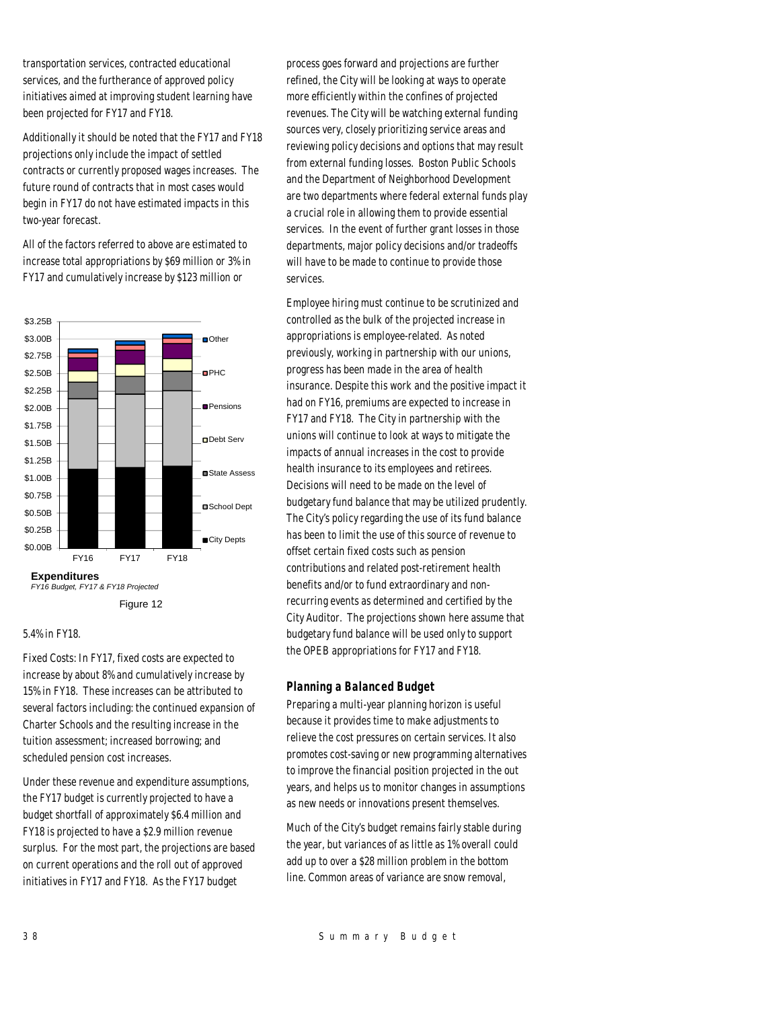transportation services, contracted educational services, and the furtherance of approved policy initiatives aimed at improving student learning have been projected for FY17 and FY18.

Additionally it should be noted that the FY17 and FY18 projections only include the impact of settled contracts or currently proposed wages increases. The future round of contracts that in most cases would begin in FY17 do not have estimated impacts in this two-year forecast.

All of the factors referred to above are estimated to increase total appropriations by \$69 million or 3% in FY17 and cumulatively increase by \$123 million or



Figure 12

#### 5.4% in FY18.

Fixed Costs: In FY17, fixed costs are expected to increase by about 8% and cumulatively increase by 15% in FY18. These increases can be attributed to several factors including: the continued expansion of Charter Schools and the resulting increase in the tuition assessment; increased borrowing; and scheduled pension cost increases.

Under these revenue and expenditure assumptions, the FY17 budget is currently projected to have a budget shortfall of approximately \$6.4 million and FY18 is projected to have a \$2.9 million revenue surplus. For the most part, the projections are based on current operations and the roll out of approved initiatives in FY17 and FY18. As the FY17 budget

process goes forward and projections are further refined, the City will be looking at ways to operate more efficiently within the confines of projected revenues. The City will be watching external funding sources very, closely prioritizing service areas and reviewing policy decisions and options that may result from external funding losses. Boston Public Schools and the Department of Neighborhood Development are two departments where federal external funds play a crucial role in allowing them to provide essential services. In the event of further grant losses in those departments, major policy decisions and/or tradeoffs will have to be made to continue to provide those services.

Employee hiring must continue to be scrutinized and controlled as the bulk of the projected increase in appropriations is employee-related. As noted previously, working in partnership with our unions, progress has been made in the area of health insurance. Despite this work and the positive impact it had on FY16, premiums are expected to increase in FY17 and FY18. The City in partnership with the unions will continue to look at ways to mitigate the impacts of annual increases in the cost to provide health insurance to its employees and retirees. Decisions will need to be made on the level of budgetary fund balance that may be utilized prudently. The City's policy regarding the use of its fund balance has been to limit the use of this source of revenue to offset certain fixed costs such as pension contributions and related post-retirement health benefits and/or to fund extraordinary and nonrecurring events as determined and certified by the City Auditor. The projections shown here assume that budgetary fund balance will be used only to support the OPEB appropriations for FY17 and FY18.

#### *Planning a Balanced Budget*

Preparing a multi-year planning horizon is useful because it provides time to make adjustments to relieve the cost pressures on certain services. It also promotes cost-saving or new programming alternatives to improve the financial position projected in the out years, and helps us to monitor changes in assumptions as new needs or innovations present themselves.

Much of the City's budget remains fairly stable during the year, but variances of as little as 1% overall could add up to over a \$28 million problem in the bottom line. Common areas of variance are snow removal,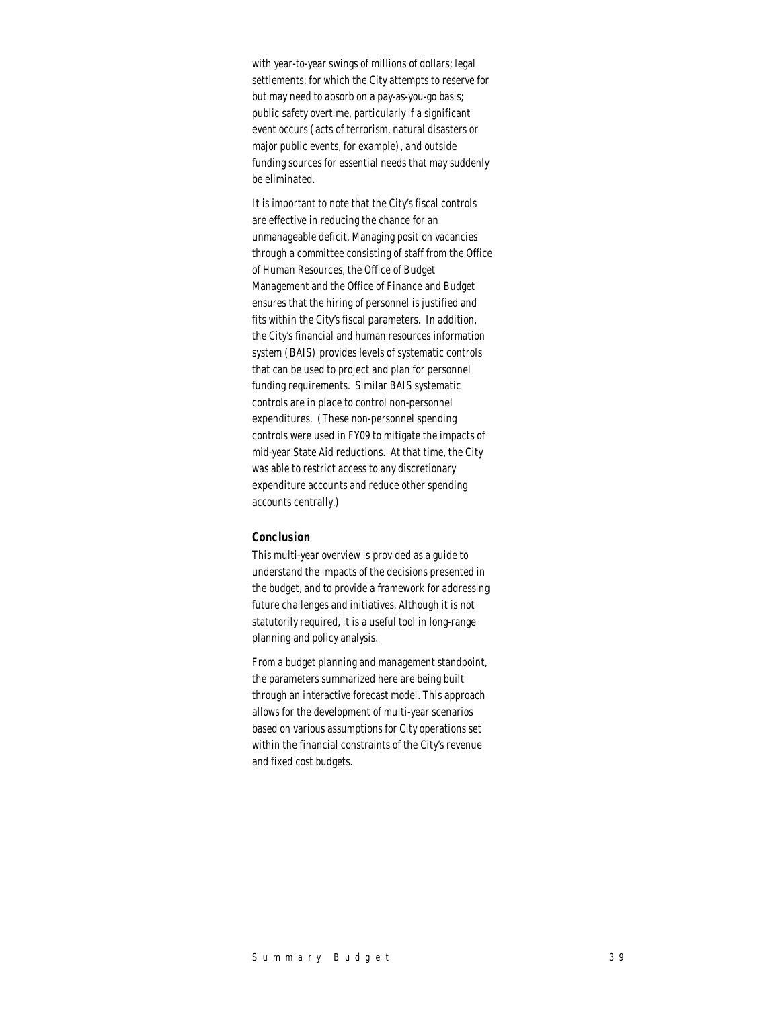with year-to-year swings of millions of dollars; legal settlements, for which the City attempts to reserve for but may need to absorb on a pay-as-you-go basis; public safety overtime, particularly if a significant event occurs (acts of terrorism, natural disasters or major public events, for example), and outside funding sources for essential needs that may suddenly be eliminated.

It is important to note that the City's fiscal controls are effective in reducing the chance for an unmanageable deficit. Managing position vacancies through a committee consisting of staff from the Office of Human Resources, the Office of Budget Management and the Office of Finance and Budget ensures that the hiring of personnel is justified and fits within the City's fiscal parameters. In addition, the City's financial and human resources information system (BAIS) provides levels of systematic controls that can be used to project and plan for personnel funding requirements. Similar BAIS systematic controls are in place to control non-personnel expenditures. (These non-personnel spending controls were used in FY09 to mitigate the impacts of mid-year State Aid reductions. At that time, the City was able to restrict access to any discretionary expenditure accounts and reduce other spending accounts centrally.)

#### *Conclusion*

This multi-year overview is provided as a guide to understand the impacts of the decisions presented in the budget, and to provide a framework for addressing future challenges and initiatives. Although it is not statutorily required, it is a useful tool in long-range planning and policy analysis.

From a budget planning and management standpoint, the parameters summarized here are being built through an interactive forecast model. This approach allows for the development of multi-year scenarios based on various assumptions for City operations set within the financial constraints of the City's revenue and fixed cost budgets.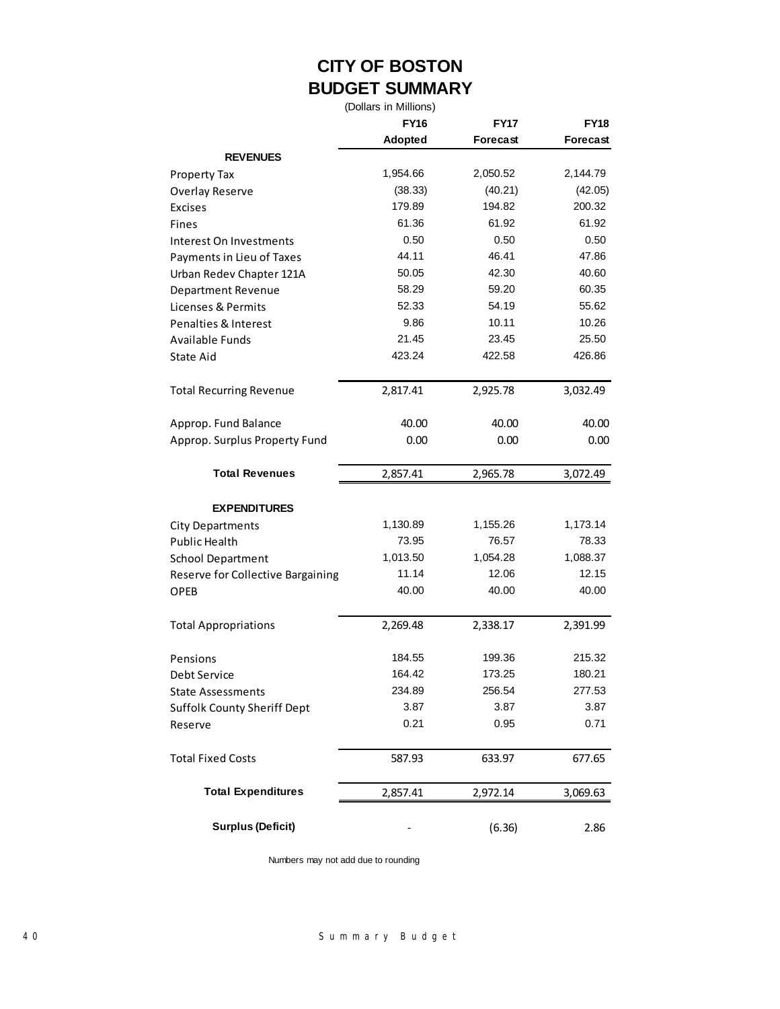# **CITY OF BOSTON BUDGET SUMMARY**

(Dollars in Millions)

|                                                  | <b>FY16</b>    | <b>FY17</b> | <b>FY18</b>     |  |
|--------------------------------------------------|----------------|-------------|-----------------|--|
|                                                  | <b>Adopted</b> | Forecast    | <b>Forecast</b> |  |
| <b>REVENUES</b>                                  |                |             |                 |  |
| <b>Property Tax</b>                              | 1,954.66       | 2,050.52    | 2,144.79        |  |
| <b>Overlay Reserve</b>                           | (38.33)        | (40.21)     | (42.05)         |  |
| <b>Excises</b>                                   | 179.89         | 194.82      | 200.32          |  |
| <b>Fines</b>                                     | 61.36          | 61.92       | 61.92           |  |
| Interest On Investments                          | 0.50           | 0.50        | 0.50            |  |
| Payments in Lieu of Taxes                        | 44.11          | 46.41       | 47.86           |  |
| Urban Redev Chapter 121A                         | 50.05          | 42.30       | 40.60           |  |
| Department Revenue                               | 58.29          | 59.20       | 60.35           |  |
| Licenses & Permits                               | 52.33          | 54.19       | 55.62           |  |
| Penalties & Interest                             | 9.86           | 10.11       | 10.26           |  |
| <b>Available Funds</b>                           | 21.45          | 23.45       | 25.50           |  |
| <b>State Aid</b>                                 | 423.24         | 422.58      | 426.86          |  |
| <b>Total Recurring Revenue</b>                   | 2,817.41       | 2,925.78    | 3,032.49        |  |
|                                                  |                |             |                 |  |
| Approp. Fund Balance                             | 40.00          | 40.00       | 40.00           |  |
| Approp. Surplus Property Fund                    | 0.00           | 0.00        | 0.00            |  |
| <b>Total Revenues</b>                            | 2,857.41       | 2,965.78    | 3,072.49        |  |
|                                                  |                |             |                 |  |
| <b>EXPENDITURES</b>                              | 1,130.89       | 1,155.26    | 1,173.14        |  |
| <b>City Departments</b><br><b>Public Health</b>  | 73.95          | 76.57       | 78.33           |  |
|                                                  | 1,013.50       | 1,054.28    | 1,088.37        |  |
| <b>School Department</b>                         | 11.14          | 12.06       | 12.15           |  |
| Reserve for Collective Bargaining<br><b>OPEB</b> | 40.00          | 40.00       | 40.00           |  |
| <b>Total Appropriations</b>                      | 2,269.48       | 2,338.17    | 2,391.99        |  |
|                                                  |                |             |                 |  |
| Pensions                                         | 184.55         | 199.36      | 215.32          |  |
| Debt Service                                     | 164.42         | 173.25      | 180.21          |  |
| <b>State Assessments</b>                         | 234.89         | 256.54      | 277.53          |  |
| <b>Suffolk County Sheriff Dept</b>               | 3.87           | 3.87        | 3.87            |  |
| Reserve                                          | 0.21           | 0.95        | 0.71            |  |
| <b>Total Fixed Costs</b>                         | 587.93         | 633.97      | 677.65          |  |
| <b>Total Expenditures</b>                        | 2,857.41       | 2,972.14    | 3,069.63        |  |
| <b>Surplus (Deficit)</b>                         |                | (6.36)      | 2.86            |  |

Numbers may not add due to rounding